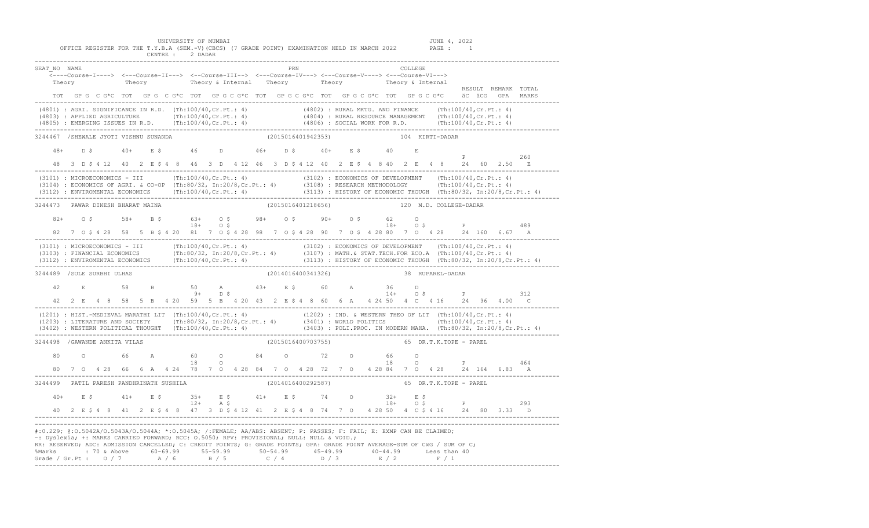UNIVERSITY OF MUMBAI JUNE 4, 2022<br>T.Y.B.A (SEM.-V)(CBCS) (7 GRADE POINT) EXAMINATION HELD IN MARCH 2022 PAGE : 1

|              |                                |                                   | CENTRE : 2 DADAR                                                                          |                    |                    | OFFICE REGISTER FOR THE T.Y.B.A (SEM.-V)(CBCS) (7 GRADE POINT) EXAMINATION HELD IN MARCH 2022 PAGE :                                                                                                                                                                                                                                                                                                                   | -1                                                                                                                                                                                                                               |
|--------------|--------------------------------|-----------------------------------|-------------------------------------------------------------------------------------------|--------------------|--------------------|------------------------------------------------------------------------------------------------------------------------------------------------------------------------------------------------------------------------------------------------------------------------------------------------------------------------------------------------------------------------------------------------------------------------|----------------------------------------------------------------------------------------------------------------------------------------------------------------------------------------------------------------------------------|
| SEAT NO NAME |                                |                                   |                                                                                           | PRN                |                    | COLLEGE<br>$\overline{\langle}\text{---Course-I---\rangle}\quad \texttt{<--Course-II---\rangle}\quad \text{<--Course-II--\rangle}\quad \text{<--Course-IV--\rangle}\quad \text{<---Course-V---\rangle}\quad \text{<---Course-V---\rangle}$<br>Theory Theory Theory 6 Internal Theory Theory Theory Theory 6 Internal<br>TOT GPG CG*C TOT GPG CG*C TOT GPG CG*C TOT GPG CG*C TOT GPG CG*C TOT GPG CG*C äC äCG GPA MARKS | RESULT REMARK TOTAL                                                                                                                                                                                                              |
|              |                                |                                   |                                                                                           |                    |                    | $(4801): AGRI.SIGNIFICANCE IN R.D. (Th:100/40, Cr.Pt.: 4) (4802): RURAL MKTG. AND FINANCE (Th:100/40, Cr.Pt.: 4) (4803): APPLIED AGRICULTURE (Th:100/40, Cr.Pt.: 4) (4804): RURAL RESOURCE MANAGEMENT (Th:100/40, Cr.Pt.: 4) (4805): EMERCING ISSUES IN R.D. (Th:100/40, Cr.Pt.: 4) (4806): SOCIAL WORK FOR R.D. (Th:100/40, Cr.Pt.: 4) (4807): RURAL RESOURCE MANAGEMENT (Th:100/40, Cr.Pt$                           |                                                                                                                                                                                                                                  |
|              |                                |                                   | 3244467 /SHEWALE JYOTI VISHNU SUNANDA (2015016401942353)                                  |                    |                    | 104 KIRTI-DADAR                                                                                                                                                                                                                                                                                                                                                                                                        |                                                                                                                                                                                                                                  |
| $48+$        |                                |                                   | D\$40+ E\$46 D 46+ D\$40+ E\$40 E                                                         |                    |                    |                                                                                                                                                                                                                                                                                                                                                                                                                        | $P \qquad \qquad$<br>260                                                                                                                                                                                                         |
|              |                                |                                   |                                                                                           |                    |                    | 48 3 D \$ 4 12 40 2 E \$ 4 8 46 3 D 4 12 46 3 D \$ 4 12 40 2 E \$ 4 8 40 2 E 4 8 24 60 2.50                                                                                                                                                                                                                                                                                                                            | $\mathbb E$                                                                                                                                                                                                                      |
|              |                                |                                   |                                                                                           |                    |                    |                                                                                                                                                                                                                                                                                                                                                                                                                        | (3101) : MICROECONOMICS - III (Th:100/40,Cr.Pt.: 4) (3102) : ECONOMICS OF DEVELOPMENT (Th:100/40,Cr.Pt.: 4)<br>(3104) : ECONOMICS OF AGRI. & CO-OP (Th:80/32, In:20/8,Cr.Pt.: 4) (3108) : RESEARCH METHODOLOGY (Th:100/40,Cr.Pt. |
|              |                                | 3244473 PAWAR DINESH BHARAT MAINA |                                                                                           | (2015016401218656) |                    | 120 M.D. COLLEGE-DADAR                                                                                                                                                                                                                                                                                                                                                                                                 |                                                                                                                                                                                                                                  |
|              |                                |                                   | $82+$ 0 \$ 58+ B \$ 63+ 0 \$ 98+ 0 \$ 90+ 0 \$ 62<br>18+ 0 \$ 18+ 0 \$ 18+                |                    |                    | $\Omega$                                                                                                                                                                                                                                                                                                                                                                                                               |                                                                                                                                                                                                                                  |
|              |                                |                                   |                                                                                           |                    |                    |                                                                                                                                                                                                                                                                                                                                                                                                                        | (3101) : MICROECONOMICS - III (Th:100/40,Cr.Pt.: 4) (3102) : ECONOMICS OF DEVELOPMENT (Th:100/40,Cr.Pt.: 4)<br>(3103) : FINANCIAL ECONOMICS (Th:80/32, In:20/8,Cr.Pt.: 4) (3107) : MATH.& STAT.TECH.FOR ECO.A (Th:100/40,Cr.Pt.  |
|              | 3244489 /SULE SURBHI ULHAS     |                                   |                                                                                           | (2014016400341326) |                    | 38 RUPAREL-DADAR                                                                                                                                                                                                                                                                                                                                                                                                       |                                                                                                                                                                                                                                  |
| 42           |                                |                                   | E 58 B 50 A 43+ E \$ 60 A 36 D<br>$9+$ D \$ 14+ O                                         |                    |                    | $14+$ 0 \$<br>42  2  E  4  8  58  5  B  4  20  59  5  B  4  20  43  2  E   S  4  8  60  6  A  4  24  50  4  C  4  16  24  96  4.00  C                                                                                                                                                                                                                                                                                  | $\mathbb{P}$<br>312                                                                                                                                                                                                              |
|              |                                |                                   |                                                                                           |                    |                    |                                                                                                                                                                                                                                                                                                                                                                                                                        | (1201) : HIST.-MEDIEVAL MARATHI LIT (Th:100/40,Cr.Pt.: 4) (1202) : IND. & WESTERN THEO OF LIT (Th:100/40,Cr.Pt.: 4)<br>(1203) : LITERATURE AND SOCIETY (Th:80/32, In:20/8,Cr.Pt.: 4) (3401) : WORLD POLITICS (Th:100/40,Cr.Pt.:  |
|              | 3244498 / GAWANDE ANKITA VILAS |                                   |                                                                                           |                    | (2015016400703755) | 65 DR.T.K.TOPE - PAREL                                                                                                                                                                                                                                                                                                                                                                                                 |                                                                                                                                                                                                                                  |
| 80           |                                |                                   | 0 66 A 60 0 84 0 72 0 66 0                                                                |                    |                    | $18$ 0 $18$ 0 $18$ 0 $12$ 0 $18$ 0 $18$ 0 $18$ 0 $18$ 0 $18$ 0 $18$ 0 $18$ 0 $18$ 0 $18$ 0 $18$ 0 $18$ 0 $18$ 0 $18$ 0 $18$ 0 $18$ 0 $18$ 0 $18$ 0 $18$ 0 $18$ 0 $18$ 0 $18$ 0 $18$ 0 $18$ 0 $18$ 0 $18$ 0 $18$ 0 $18$ 0 $18$                                                                                                                                                                                          |                                                                                                                                                                                                                                  |
|              |                                |                                   | 3244499 PATIL PARESH PANDHRINATH SUSHILA (2014016400292587)                               |                    |                    | 65 DR.T.K.TOPE - PAREL                                                                                                                                                                                                                                                                                                                                                                                                 |                                                                                                                                                                                                                                  |
|              |                                |                                   |                                                                                           |                    |                    | $40+$ E \$ $41+$ E \$ $35+$ E \$ $41+$ E \$ $74$ O $32+$ E \$ P<br>12+ A \$ 18+ O \$ P<br>40 2 E \$ 4 8 41 2 E \$ 4 8 47 3 D \$ 4 12 41 2 E \$ 4 8 74 7 0 4 28 50 4 C \$ 4 16 24 80 3.33 D                                                                                                                                                                                                                             | 293                                                                                                                                                                                                                              |
|              |                                |                                   | ~: Dyslexia; +: MARKS CARRIED FORWARD; RCC: 0.5050; RPV: PROVISIONAL; NULL: NULL & VOID.; |                    |                    | #:0.229; @:0.5042A/0.5043A/0.5044A; *:0.5045A; /:FEMALE; AA/ABS: ABSENT; P: PASSES; F: FAIL; E: EXMP CAN BE CLAIMED;<br>RR: RESERVED; ADC: ADMISSION CANCELLED; C: CREDIT POINTS; G: GRADE POINTS; GPA: GRADE POINT AVERAGE=SUM OF CxG / SUM OF C;<br>% Marks : 70 & Above 60-69.99 55-59.99 50-54.99 45-49.99 40-44.99 Less than 40<br>Grade / Gr.Pt : 0 / 7 A / 6 B / 5 C / 4 D / 3 E / 2 F / 1                      |                                                                                                                                                                                                                                  |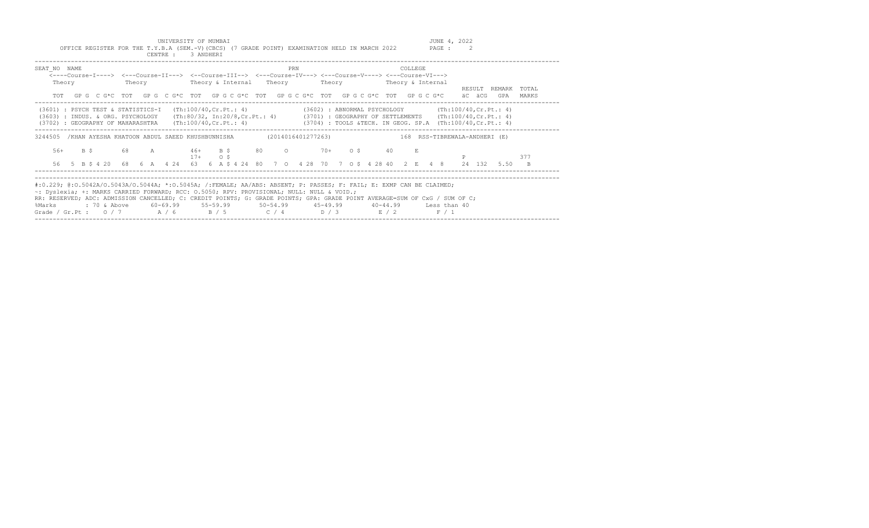UNIVERSITY OF MUMBAI JUNE 4, 2022<br>Y.B.A (SEM.-V)(CBCS) (7 GRADE POINT) EXAMINATION HELD IN MARCH 2022 PAGE : 2 OFFICE REGISTER FOR THE T.Y.B.A (SEM.-V)(CBCS) (7 GRADE POINT) EXAMINATION HELD IN MARCH 2022

|                                                                                                                                                                                                                                                                                                                                                                                                     |      |  |                         |        |   | CENTRE : |          | 3 ANDHERI    |           |                                                                                                             |  |     |  |  |             |    |          |                          |                                                                                      |        |                                                                                                                                                   |                |
|-----------------------------------------------------------------------------------------------------------------------------------------------------------------------------------------------------------------------------------------------------------------------------------------------------------------------------------------------------------------------------------------------------|------|--|-------------------------|--------|---|----------|----------|--------------|-----------|-------------------------------------------------------------------------------------------------------------|--|-----|--|--|-------------|----|----------|--------------------------|--------------------------------------------------------------------------------------|--------|---------------------------------------------------------------------------------------------------------------------------------------------------|----------------|
| SEAT NO NAME                                                                                                                                                                                                                                                                                                                                                                                        |      |  |                         |        |   |          |          |              |           | <----Course-I----> <---Course-II---> <--Course-III--> <---Course-IV---> <---Course-V----> <---Course-VI---> |  | PRN |  |  |             |    | COLLEGE. |                          |                                                                                      |        |                                                                                                                                                   |                |
| Theory<br><b>TOT</b>                                                                                                                                                                                                                                                                                                                                                                                |      |  |                         | Theory |   |          |          |              |           | Theory & Internal Theory<br>GPG CG*C TOT GPG CG*C TOT GPG CG*C TOT GPG CG*C TOT GPG CG*C TOT GPG CG*C       |  |     |  |  |             |    |          | Theory Theory & Internal |                                                                                      | äC äCG | RESULT REMARK<br>GPA                                                                                                                              | TOTAL<br>MARKS |
| (3601) : PSYCH TEST & STATISTICS-I<br>(3603) : INDUS, & ORG, PSYCHOLOGY<br>(3702) : GEOGRAPHY OF MAHARASHTRA (Th:100/40, Cr. Pt.: 4) (3704) : TOOLS &TECH. IN GEOG. SP.A (Th:100/40, Cr. Pt.: 4)                                                                                                                                                                                                    |      |  |                         |        |   |          |          |              |           | (Th:100/40, Cr.Pt.: 4)                                                                                      |  |     |  |  |             |    |          |                          |                                                                                      |        | (3602) : ABNORMAL PSYCHOLOGY (Th:100/40, Cr. Pt.: 4)<br>(Th:80/32, In:20/8, Cr. Pt.: 4) (3701) : GEOGRAPHY OF SETTLEMENTS (Th:100/40, Cr. Pt.: 4) |                |
| 3244505                                                                                                                                                                                                                                                                                                                                                                                             |      |  |                         |        |   |          |          |              |           |                                                                                                             |  |     |  |  |             |    |          |                          | (XHAN AYESHA KHATOON ABDUL SAEED KHUSHBUNNISHA (2014016401277263) (2014016401277263) |        |                                                                                                                                                   |                |
| $56+$                                                                                                                                                                                                                                                                                                                                                                                               | B \$ |  | 68                      |        | A |          |          | $17+$        | $\circ$ s | $46+$ B \$ 80 0                                                                                             |  |     |  |  | $70+$ 0\$   | 40 |          |                          |                                                                                      |        |                                                                                                                                                   | 377            |
| 56                                                                                                                                                                                                                                                                                                                                                                                                  |      |  | 5 B \$ 4 20 68 6 A 4 24 |        |   |          |          |              |           | 63   6   A   \$   4   24   80   7   0   4   28   70   7   0   \$  4   28   40   2   E   4   8               |  |     |  |  |             |    |          |                          |                                                                                      | 24 132 | 5.50                                                                                                                                              | $\overline{B}$ |
| #:0.229; @:0.5042A/0.5043A/0.5044A; *:0.5045A; /:FEMALE; AA/ABS: ABSENT; P: PASSES; F: FAIL; E: EXMP CAN BE CLAIMED;<br>~: Dyslexia; +: MARKS CARRIED FORWARD; RCC: 0.5050; RPV: PROVISIONAL; NULL: NULL & VOID.;<br>RR: RESERVED; ADC: ADMISSION CANCELLED; C: CREDIT POINTS; G: GRADE POINTS; GPA: GRADE POINT AVERAGE=SUM OF CxG / SUM OF C;<br>%Marks<br>Grade / Gr.Pt: $0/7$ $A/6$ $B/5$ $C/4$ |      |  | : 70 & Above            |        |   |          | 60-69.99 | $55 - 59.99$ |           |                                                                                                             |  |     |  |  | $D / 3$ E/2 |    |          |                          | 50-54.99  45-49.99  40-44.99  Less than 40<br>F / 1                                  |        |                                                                                                                                                   |                |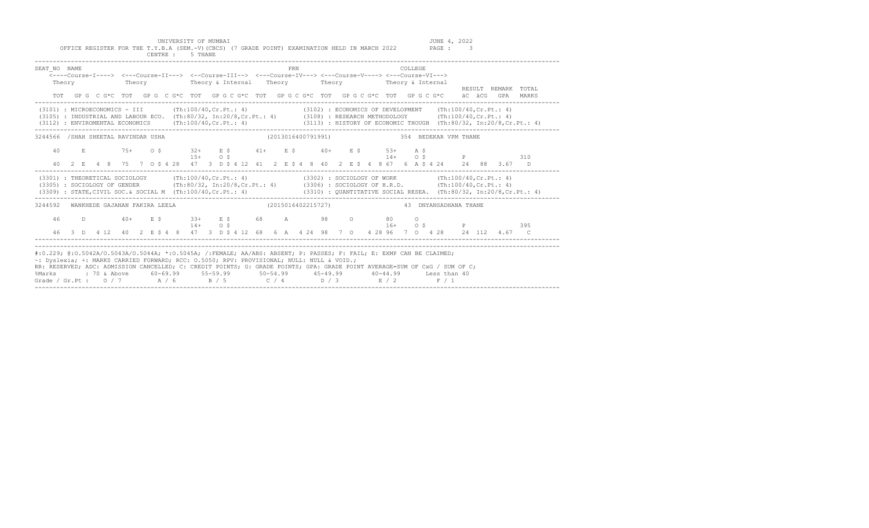UNIVERSITY OF MUMBAI<br>Y.B.A (SEM.-V)(CBCS) (7 GRADE POINT) EXAMINATION HELD IN MARCH 2022 PAGE : 3 OFFICE REGISTER FOR THE T.Y.B.A (SEM.-V)(CBCS) (7 GRADE POINT) EXAMINATION HELD IN MARCH 2022

|                                                                                                                                                                                                                                                                                                                                                                                                                                                                                              |  |  |                               |  |  | CENTRE : 5 THANE                                                                                                                                                                                                                                                             |            |  |  |  |     |  |  |  |  |                |         |  |  |  |                  |                     |  |
|----------------------------------------------------------------------------------------------------------------------------------------------------------------------------------------------------------------------------------------------------------------------------------------------------------------------------------------------------------------------------------------------------------------------------------------------------------------------------------------------|--|--|-------------------------------|--|--|------------------------------------------------------------------------------------------------------------------------------------------------------------------------------------------------------------------------------------------------------------------------------|------------|--|--|--|-----|--|--|--|--|----------------|---------|--|--|--|------------------|---------------------|--|
| SEAT NO NAME<br>Theory                                                                                                                                                                                                                                                                                                                                                                                                                                                                       |  |  |                               |  |  | <---Course-I----> <---Course-II---> <--Course-III--> <---Course-IV---> <---Course-V----> <---Course-VI---><br>Theory Theory & Internal Theory Theory Theory Theory & Internal<br>TOT GPG CG*C TOT GPG CG*C TOT GPG CG*C TOT GPG CG*C TOT GPG CG*C TOT GPG CG*C äCGGGPA MARKS |            |  |  |  | PRN |  |  |  |  | <b>COLLEGE</b> |         |  |  |  |                  | RESULT REMARK TOTAL |  |
| (3101) : MICROECONOMICS - III (Th:100/40, Cr. Pt.: 4) (3102) : ECONOMICS OF DEVELOPMENT (Th:100/40, Cr. Pt.: 4)<br>(3105) : INDUSTRIAL AND LABOUR ECO. (Th:80/32, In:20/8,Cr.Pt.: 4) (3108) : RESEARCH METHODOLOGY (Th:100/40,Cr.Pt.: 4)<br>(3112) : ENVIROMENTAL ECONOMICS (Th:100/40, Cr. Pt.: 4) (3113) : HISTORY OF ECONOMIC THOUGH (Th:80/32, In:20/8, Cr. Pt.: 4)                                                                                                                      |  |  |                               |  |  |                                                                                                                                                                                                                                                                              |            |  |  |  |     |  |  |  |  |                |         |  |  |  |                  |                     |  |
| 3244566 /SHAH SHEETAL RAVINDAR USHA<br>40 E 75+ 0 \$                                                                                                                                                                                                                                                                                                                                                                                                                                         |  |  |                               |  |  | $32+$ $E$ \$ $41+$ $E$ \$ $40+$ $E$ \$ $53+$ $A$ \$<br>$15+$ 0 S                                                                                                                                                                                                             |            |  |  |  |     |  |  |  |  |                |         |  |  |  | $14+$ 0 \$ P 310 |                     |  |
| (3301) : THEORETICAL SOCIOLOGY (Th:100/40, Cr. Pt.: 4) (3302) : SOCIOLOGY OF WORK (Th:100/40, Cr. Pt.: 4)<br>(3305) : SOCIOLOGY OF GENDER (Th:80/32, In:20/8, Cr.Pt.: 4) (3306) : SOCIOLOGY OF H.R.D. (Th:100/40, Cr.Pt.: 4)                                                                                                                                                                                                                                                                 |  |  |                               |  |  | 40 2 E 4 8 75 7 0 \$ 4 28 47 3 D \$ 4 12 41 2 E \$ 4 8 40 2 E \$ 4 8 67 6 A \$ 4 24 24 88 3.67 D                                                                                                                                                                             |            |  |  |  |     |  |  |  |  |                |         |  |  |  |                  |                     |  |
| (3309) : STATE, CIVIL SOC. & SOCIAL M (Th:100/40, Cr. Pt.: 4) (3310) : QUANTITATIVE SOCIAL RESEA. (Th:80/32, In:20/8, Cr. Pt.: 4)<br>3244592                                                                                                                                                                                                                                                                                                                                                 |  |  | WANKHEDE GAJANAN FAKIRA LEELA |  |  |                                                                                                                                                                                                                                                                              |            |  |  |  |     |  |  |  |  |                |         |  |  |  |                  |                     |  |
| 46 D 40+ E \$                                                                                                                                                                                                                                                                                                                                                                                                                                                                                |  |  |                               |  |  | $33+$ E \$ 68 A 98 O 80<br>46 3 D  4 12  40  2  E  5  4  8  47  3  D  5  4  12  68  6  A  4  24  98  7  0  4  28  96  7  0  4  28  24  112  4.67  C                                                                                                                          | $14+$ 0 \$ |  |  |  |     |  |  |  |  |                | $\circ$ |  |  |  | $16+$ 0 \$ P 395 |                     |  |
| #:0.229; @:0.5042A/0.5043A/0.5044A; *:0.5045A; /:FEMALE; AA/ABS: ABSENT; P: PASSES; F: FAIL; E: EXMP CAN BE CLAIMED;<br>~: Dyslexia; +: MARKS CARRIED FORWARD; RCC: 0.5050; RPV: PROVISIONAL; NULL: NULL & VOID.;<br>RR: RESERVED; ADC: ADMISSION CANCELLED; C: CREDIT POINTS; G: GRADE POINTS; GPA: GRADE POINT AVERAGE=SUM OF CxG / SUM OF C;<br>%Marks : 70 & Above 60-69.99 55-59.99 50-54.99 45-49.99 40-44.99 Less than 40<br>Grade / Gr.Pt: $0/7$ $A/6$ $B/5$ $C/4$ $D/3$ $E/2$ $F/1$ |  |  |                               |  |  |                                                                                                                                                                                                                                                                              |            |  |  |  |     |  |  |  |  |                |         |  |  |  |                  |                     |  |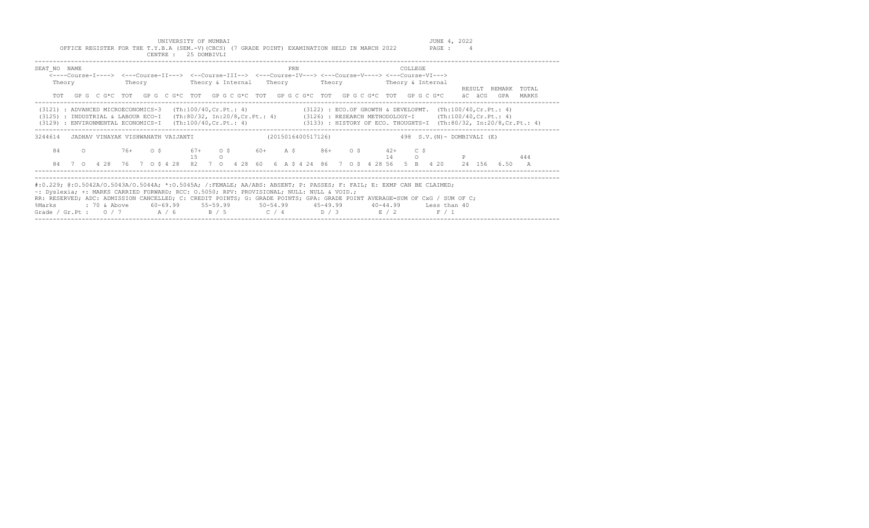UNIVERSITY OF MUMBAI<br>Y.B.A (SEM.-V)(CBCS) (7 GRADE POINT) EXAMINATION HELD IN MARCH 2022 PAGE : 4 OFFICE REGISTER FOR THE T.Y.B.A (SEM.-V)(CBCS) (7 GRADE POINT) EXAMINATION HELD IN MARCH 2022

|                                                                                                                | CENTRE :                           | 25 DOMBIVLI                    |                                                                                                                                                                                                                                                                                                                                                                                                                                    |                                       |                                  |
|----------------------------------------------------------------------------------------------------------------|------------------------------------|--------------------------------|------------------------------------------------------------------------------------------------------------------------------------------------------------------------------------------------------------------------------------------------------------------------------------------------------------------------------------------------------------------------------------------------------------------------------------|---------------------------------------|----------------------------------|
| SEAT NO NAME<br>Theory                                                                                         | Theory                             |                                | PRN<br><----Course-I----> <---Course-II---> <--Course-III--> <---Course-IV---> <---Course-V----> <---Course-VI---><br>Theory & Internal Theory Theory Theory & Internal                                                                                                                                                                                                                                                            | <b>COLLEGE</b>                        | TOTAL<br>RESULT<br>REMARK        |
| TOT                                                                                                            |                                    |                                | GP G C G*C TOT GP G C G*C TOT GP G C G*C TOT GP G C G*C TOT GP G C G*C TOT GP G C G*C                                                                                                                                                                                                                                                                                                                                              |                                       | äC äCG<br>GPA<br>MARKS           |
| (3121) : ADVANCED MICROECONOMICS-3<br>(3125) : INDUSTRIAL & LABOUR ECO-I<br>(3129) : ENVIRONMENTAL ECONOMICS-I |                                    |                                | (Th:100/40, Cr. Pt.: 4) (3122) : ECO. OF GROWTH & DEVELOPMT. (Th:100/40, Cr. Pt.: 4)<br>(Th:80/32, In:20/8, Cr.Pt.: 4) (3126) : RESEARCH METHODOLOGY-I (Th:100/40, Cr.Pt.: 4)<br>(Th:100/40, Cr.Pt.: 4) (3133): HISTORY OF ECO. THOUGHTS-I (Th:80/32, In:20/8, Cr.Pt.: 4)                                                                                                                                                          |                                       |                                  |
| 3244614                                                                                                        | JADHAV VINAYAK VISHWANATH VAIJANTI |                                | (2015016400517126)                                                                                                                                                                                                                                                                                                                                                                                                                 | 498 $S.V.(N) - DOMBIVALI (E)$         |                                  |
| 84<br>$\circ$                                                                                                  | 76+ 0\$                            | $67 + 0$ \$<br>1.5<br>$\Omega$ | $60+$ A S $86+$ O S                                                                                                                                                                                                                                                                                                                                                                                                                | $42+$<br>$C$ $S$<br>14<br>$\Omega$    | 444                              |
|                                                                                                                | 84 7 0 4 28 76 7 0 \$ 4 28         |                                | 82 7 0 4 28 60 6 A \$ 4 24 86 7 0 \$ 4 28 56 5 B 4 20                                                                                                                                                                                                                                                                                                                                                                              |                                       | 24 156<br>6.50<br>$\overline{A}$ |
| %Marks                                                                                                         | : 70 & Above 60-69.99 55-59.99     |                                | #:0.229; @:0.5042A/O.5043A/O.5044A; *:0.5045A; /:FEMALE; AA/ABS: ABSENT; P: PASSES; F: FAIL; E: EXMP CAN BE CLAIMED;<br>~: Dyslexia; +: MARKS CARRIED FORWARD; RCC: 0.5050; RPV: PROVISIONAL; NULL: NULL & VOID.;<br>RR: RESERVED; ADC: ADMISSION CANCELLED; C: CREDIT POINTS; G: GRADE POINTS; GPA: GRADE POINT AVERAGE=SUM OF CxG / SUM OF C;<br>$50 - 54.99$ $45 - 49.99$<br>Grade / Gr.Pt: $0/7$ $A/6$ $B/5$ $C/4$ $D/3$ $E/2$ | $40 - 44.99$<br>Less than 40<br>F / 1 |                                  |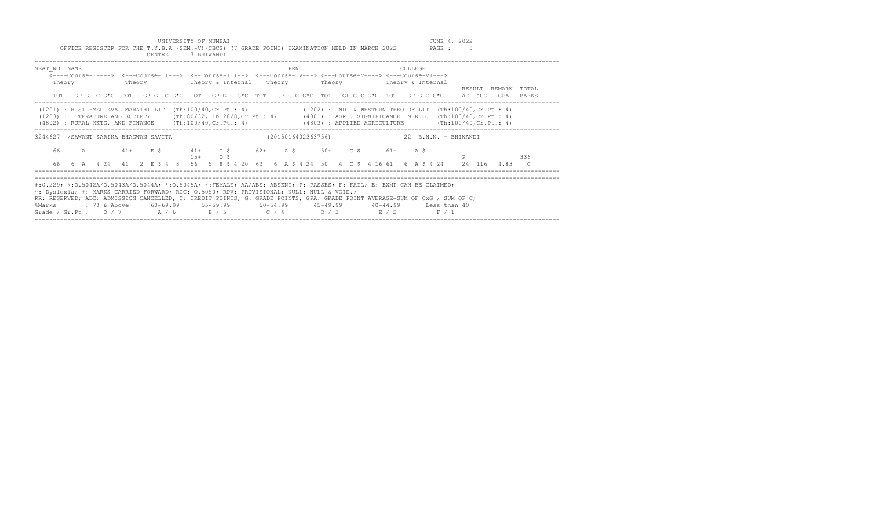UNIVERSITY OF MUMBAI<br>Y.B.A (SEM.-V)(CBCS) (7 GRADE POINT) EXAMINATION HELD IN MARCH 2022 PAGE : 5 OFFICE REGISTER FOR THE T.Y.B.A (SEM.-V)(CBCS) (7 GRADE POINT) EXAMINATION HELD IN MARCH 2022

|                                                                                                                                                                                                                                                                                                                                                                                                                       |        |  |  |  |  | CENTRE : 7 BHIWANDI                                             |  |  |  |     |  |  |  |         |  |                                                                                                             |   |        |                                                                                                                                               |       |
|-----------------------------------------------------------------------------------------------------------------------------------------------------------------------------------------------------------------------------------------------------------------------------------------------------------------------------------------------------------------------------------------------------------------------|--------|--|--|--|--|-----------------------------------------------------------------|--|--|--|-----|--|--|--|---------|--|-------------------------------------------------------------------------------------------------------------|---|--------|-----------------------------------------------------------------------------------------------------------------------------------------------|-------|
| SEAT NO NAME                                                                                                                                                                                                                                                                                                                                                                                                          | Theory |  |  |  |  |                                                                 |  |  |  | PRN |  |  |  | COLLEGE |  | <----Course-I----> <---Course-II---> <--Course-III--> <---Course-IV---> <---Course-V----> <---Course-VI---> |   | RESULT | REMARK                                                                                                                                        | TOTAL |
|                                                                                                                                                                                                                                                                                                                                                                                                                       |        |  |  |  |  |                                                                 |  |  |  |     |  |  |  |         |  | TOT GPG CG*C TOT GPG CG*C TOT GPG CG*C TOT GPG CG*C TOT GPG CG*C TOT GPG CG*C                               |   | äC äCG | GPA                                                                                                                                           | MARKS |
| (1201) : HIST.-MEDIEVAL MARATHI LIT (Th:100/40, Cr. Pt.: 4) (1202) : IND. & WESTERN THEO OF LIT (Th:100/40, Cr. Pt.: 4)<br>(1203) : LITERATURE AND SOCIETY (Th:80/32, In:20/8, Cr.Pt.: 4) (4801) : AGRI. SIGNIFICANCE IN R.D. (Th:100/40, Cr.Pt.: 4)<br>(4802): RURAL MKTG. AND FINANCE (Th:100/40, Cr. Pt.: 4) (4803): APPLIED AGRICULTURE (Th:100/40, Cr. Pt.: 4)                                                   |        |  |  |  |  |                                                                 |  |  |  |     |  |  |  |         |  |                                                                                                             |   |        |                                                                                                                                               |       |
| 3244627 /SAWANT SARIKA BHAGWAN SAVITA (2015016402363756) 22 B.N.N. - BHIWANDI                                                                                                                                                                                                                                                                                                                                         |        |  |  |  |  |                                                                 |  |  |  |     |  |  |  |         |  |                                                                                                             |   |        |                                                                                                                                               |       |
|                                                                                                                                                                                                                                                                                                                                                                                                                       |        |  |  |  |  | 66 A 41+ E \$ 41+ C \$ 62+ A \$ 50+ C \$ 61+ A \$<br>$15+$ 0 \$ |  |  |  |     |  |  |  |         |  |                                                                                                             | P |        |                                                                                                                                               | 336   |
|                                                                                                                                                                                                                                                                                                                                                                                                                       |        |  |  |  |  |                                                                 |  |  |  |     |  |  |  |         |  |                                                                                                             |   |        | 66  6  A  4  24  41  2  E  \$  4  8  56  5  B  \$  4  20  62  6  A  \$  4  24  24  50  4  C  \$  4  16  61  6  A  \$  4  24  24  116  4.83  C |       |
| #:0.229; @:0.5042A/0.5043A/0.5044A; *:0.5045A; /:FEMALE; AA/ABS: ABSENT; P: PASSES; F: FAIL; E: EXMP CAN BE CLAIMED;<br>~: Dyslexia; +: MARKS CARRIED FORWARD; RCC: 0.5050; RPV: PROVISIONAL; NULL: NULL & VOID.;<br>RR: RESERVED; ADC: ADMISSION CANCELLED; C: CREDIT POINTS; G: GRADE POINTS; GPA: GRADE POINT AVERAGE=SUM OF CxG / SUM OF C;<br>%Marks<br>Grade / Gr.Pt: $0/7$ $A/6$ $B/5$ $C/4$ $D/3$ $E/2$ $F/1$ |        |  |  |  |  |                                                                 |  |  |  |     |  |  |  |         |  |                                                                                                             |   |        |                                                                                                                                               |       |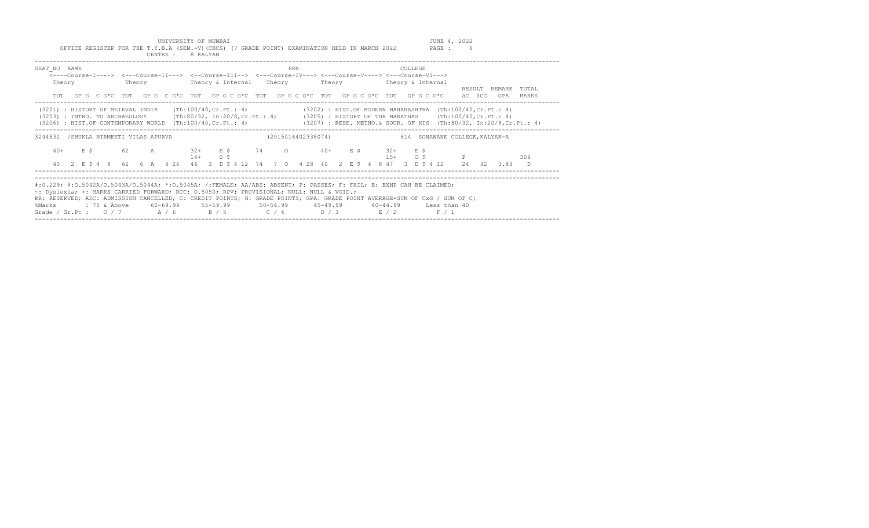UNIVERSITY OF MUMBAI<br>Y.B.A (SEM.-V)(CBCS) (7 GRADE POINT) EXAMINATION HELD IN MARCH 2022 PAGE : 6 OFFICE REGISTER FOR THE T.Y.B.A (SEM.-V)(CBCS) (7 GRADE POINT) EXAMINATION HELD IN MARCH 2022

|                        | CENTRE : 8 KALYAN |            |                                                                                                                                                                                                                                                                                                                                                                                                                                                                                                                                  |         |                     |
|------------------------|-------------------|------------|----------------------------------------------------------------------------------------------------------------------------------------------------------------------------------------------------------------------------------------------------------------------------------------------------------------------------------------------------------------------------------------------------------------------------------------------------------------------------------------------------------------------------------|---------|---------------------|
| SEAT NO NAME<br>Theory |                   |            | PRN<br><----Course-I----> <---Course-II---> <--Course-III--> <---Course-IV---> <---Course-V----> <---Course-VI--->                                                                                                                                                                                                                                                                                                                                                                                                               | COLLEGE | RESULT REMARK TOTAL |
|                        |                   |            | TOT GPGCG*CTOT GPGCG*CTOT GPGCG*CTOT GPGCG*CTOT COGCG*CTOT GPGCG*CTOT GPGCG*C äC äCG                                                                                                                                                                                                                                                                                                                                                                                                                                             |         | GPA MARKS           |
|                        |                   |            | (3201) : HISTORY OF MEIEVAL INDIA (Th:100/40,Cr.Pt.: 4) (3202) : HIST.OF MODERN MAHARASHTRA (Th:100/40,Cr.Pt.: 4)<br>(3203) : INTRO. TO ARCHAEOLOGY (Th:80/32, In:20/8,Cr.Pt.: 4) (3205) : HISTORY OF THE MARATHAS (Th:100/40,Cr.Pt.: 4)<br>(3206) : HIST.OF CONTEMPORARY WORLD (Th:100/40,Cr.Pt.: 4) (3207) : RESE. METHO.& SOUR. OF HIS (Th:80/32, In:20/8,Cr.Pt.: 4)                                                                                                                                                          |         |                     |
|                        |                   |            | 3244632 /SHUKLA NIRMEETI VILAS APURVA (2015016402338074) 614 SONAWANE COLLEGE, KALYAN-A                                                                                                                                                                                                                                                                                                                                                                                                                                          |         |                     |
|                        |                   | $14+$ 0 \$ | $40+$ $E$ \$ 62 A 32+ $E$ \$ 74 O 40+ $E$ \$ 32+ $E$ \$<br>$15+$ 0 \$ P<br>40 2 E \$ 4 8 62 6 A 4 24 46 3 D \$ 4 12 74 7 0 4 28 40 2 E \$ 4 8 47 3 D \$ 4 12 24 92 3.83 D                                                                                                                                                                                                                                                                                                                                                        |         | 309                 |
|                        |                   |            |                                                                                                                                                                                                                                                                                                                                                                                                                                                                                                                                  |         |                     |
| %Marks                 |                   |            | #:0.229; @:0.5042A/O.5043A/O.5044A; *:0.5045A; /:FEMALE; AA/ABS: ABSENT; P: PASSES; F: FAIL; E: EXMP CAN BE CLAIMED;<br>~: Dyslexia; +: MARKS CARRIED FORWARD; RCC: 0.5050; RPV: PROVISIONAL; NULL: NULL & VOID.;<br>RR: RESERVED; ADC: ADMISSION CANCELLED; C: CREDIT POINTS; G: GRADE POINTS; GPA: GRADE POINT AVERAGE=SUM OF CxG / SUM OF C;<br>: 70 & Above        60-69.99        55-59.99        50-54.99        45-49.99        40-44.99        Less than 40<br>Grade / Gr.Pt : $0/7$ $A/6$ $B/5$ $C/4$ $D/3$ $E/2$ $F/1$ |         |                     |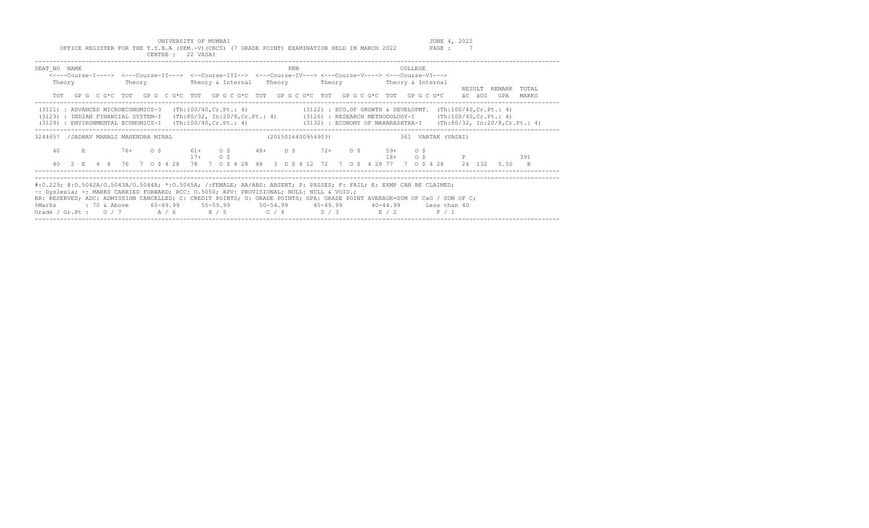UNIVERSITY OF MUMBAI<br>Y.B.A (SEM.-V)(CBCS) (7 GRADE POINT) EXAMINATION HELD IN MARCH 2022 PAGE : 7 OFFICE REGISTER FOR THE T.Y.B.A (SEM.-V)(CBCS) (7 GRADE POINT) EXAMINATION HELD IN MARCH 2022

|                                        | CENTRE : 22 VASAI                                                                         |                                                                                                                                                                                                                                                                                                                 |                                                                                                                                                                                                                                                                                                                                                                                                                                     |  |
|----------------------------------------|-------------------------------------------------------------------------------------------|-----------------------------------------------------------------------------------------------------------------------------------------------------------------------------------------------------------------------------------------------------------------------------------------------------------------|-------------------------------------------------------------------------------------------------------------------------------------------------------------------------------------------------------------------------------------------------------------------------------------------------------------------------------------------------------------------------------------------------------------------------------------|--|
| SEAT NO NAME<br>Theory                 |                                                                                           | <b>PRN</b><br><---Course-I----> <---Course-II---> <--Course-III--> <---Course-IV---> <---Course-V----> <---Course-VI--->                                                                                                                                                                                        | COLLEGE<br>REMARK TOTAL<br>RESULT                                                                                                                                                                                                                                                                                                                                                                                                   |  |
| TOT                                    |                                                                                           | GP G C G*C TOT GP G C G*C TOT GP G C G*C TOT GP G C G*C TOT GP G C G*C TOT GP G C G*C                                                                                                                                                                                                                           | äC äCG<br>GPA<br>MARKS<br>-----------------------------<br>(3121) : ADVANCED MICROECONOMICS-3 (Th:100/40,Cr.Pt.: 4) (3122) : ECO.OF GROWTH & DEVELOPMT. (Th:100/40,Cr.Pt.: 4)<br>(3123) : INDIAN FINANCIAL SYSTEM-I (Th:80/32, In:20/8,Cr.Pt.: 4) (3126) : RESEARCH METHODOLOGY-I (Th:100/40,Cr.Pt.: 4)<br>(3129) : ENVIRONMENTAL ECONOMICS-I (Th:100/40,Cr.Pt.: 4) (3132) : ECONOMY OF MAHARASHTRA-I (Th:80/32, In:20/8,Cr.Pt.: 4) |  |
| 3244657 / JADHAV MANALI MAHENDRA MINAL |                                                                                           | (2015016400954903)                                                                                                                                                                                                                                                                                              | 361 VARTAK (VASAI)                                                                                                                                                                                                                                                                                                                                                                                                                  |  |
| 40                                     | $17+$ 0 \$                                                                                | E 76+ 0 \$ 61+ 0 \$ 48+ D \$ 72+ 0 \$ 59+ 0 \$                                                                                                                                                                                                                                                                  | $18+$ 0 \$ P<br>391<br>40  2  E  4  8  76  7  0  \$  4  28  78  7  0  \$  4  28  48  3  D  \$  4  12  72  7  0  \$  4  28  77  7  0  \$  4  28  24  132  5.50<br>B.                                                                                                                                                                                                                                                                 |  |
| %Marks                                 | ~: Dyslexia; +: MARKS CARRIED FORWARD; RCC: 0.5050; RPV: PROVISIONAL; NULL: NULL & VOID.; | #:0.229; @:0.5042A/O.5043A/O.5044A; *:0.5045A; /:FEMALE; AA/ABS: ABSENT; P: PASSES; F: FAIL; E: EXMP CAN BE CLAIMED;<br>RR: RESERVED; ADC: ADMISSION CANCELLED; C: CREDIT POINTS; G: GRADE POINTS; GPA: GRADE POINT AVERAGE=SUM OF CxG / SUM OF C;<br>Grade / Gr.Pt : $0/7$ $A/6$ $B/5$ $C/4$ $D/3$ $E/2$ $F/1$ |                                                                                                                                                                                                                                                                                                                                                                                                                                     |  |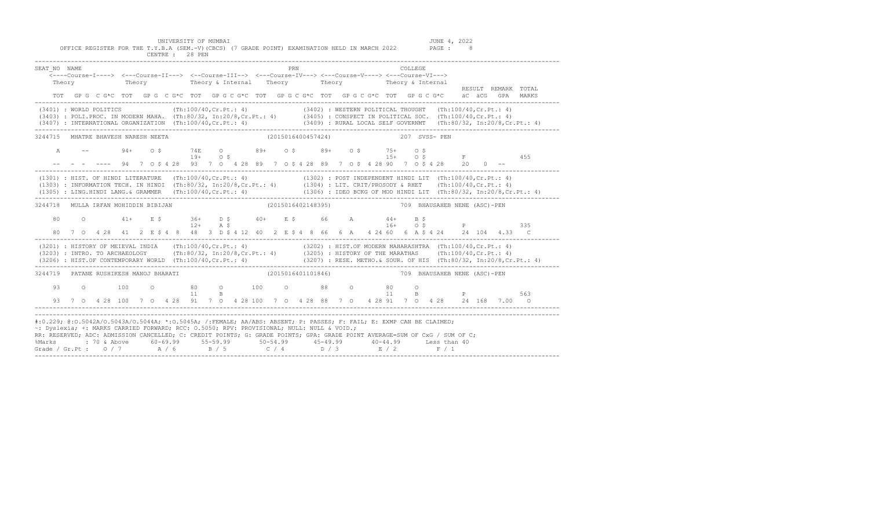UNIVERSITY OF MUMBAI (JUNE 1, 2022 )<br>OFFICE REGISTER FOR THE T.Y.B.A (SEM.-V)(CBCS) (7 GRADE POINT) EXAMINATION HELD IN MARCH 2022 PAGE : CENTRE : 28 PEN

| SEAT NO NAME                                                                                                                                                                                                                                                                                                                                                                                                                                                                                 | Theory | Theory Theory & Internal Theory Theory Theory & Internal                                                                         |  |  |  |  |  | PRN |                                  |  |  | <b>COLLEGE</b> |  |  | RESULT REMARK TOTAL                                           |  |
|----------------------------------------------------------------------------------------------------------------------------------------------------------------------------------------------------------------------------------------------------------------------------------------------------------------------------------------------------------------------------------------------------------------------------------------------------------------------------------------------|--------|----------------------------------------------------------------------------------------------------------------------------------|--|--|--|--|--|-----|----------------------------------|--|--|----------------|--|--|---------------------------------------------------------------|--|
|                                                                                                                                                                                                                                                                                                                                                                                                                                                                                              |        | TOT GP G C G*C TOT GP G C G*C TOT GP G C G*C TOT GP G C G*C TOT GP G C G*C TOT G P G C G *C äC äCG GPA MARKS                     |  |  |  |  |  |     |                                  |  |  |                |  |  |                                                               |  |
| (3401) : WORLD POLITICS (Th:100/40, Cr. Pt.: 4) (3402) : WESTERN POLITICAL THOUGHT (Th:100/40, Cr. Pt.: 4)<br>(3403) : POLI PROC. IN MODERN MAHA. (Th:80/32, In:20/8, Cr.Pt.: 4) (3405) : CONSPECT IN POLITICAL SOC. (Th:100/40, Cr.Pt.: 4)<br>(3407) : INTERNATIONAL ORGANIZATION (Th:100/40,Cr.Pt.: 4) (3409) : RURAL LOCAL SELF GOVERNMT (Th:80/32, In:20/8,Cr.Pt.: 4)                                                                                                                    |        |                                                                                                                                  |  |  |  |  |  |     |                                  |  |  |                |  |  |                                                               |  |
| 3244715 MHATRE BHAVESH NARESH NEETA                                                                                                                                                                                                                                                                                                                                                                                                                                                          |        |                                                                                                                                  |  |  |  |  |  |     | (2015016400457424) 207 SVSS- PEN |  |  |                |  |  |                                                               |  |
| A                                                                                                                                                                                                                                                                                                                                                                                                                                                                                            |        | $94+$ 0 \$<br>$--$ - - ---- 94 7 0 \$ 4 28 93 7 0 4 28 89 7 0 \$ 4 28 89 7 0 \$ 4 28 90 7 0 \$ 4 28 20 0 --                      |  |  |  |  |  |     |                                  |  |  |                |  |  | 74E O 89+ O\$ 89+ O\$ 75+ O\$<br>19+ O\$ 9+ O\$ 15+ O\$ F 455 |  |
| (1301) : HIST. OF HINDI LITERATURE (Th:100/40, Cr. Pt.: 4) (1302) : POST INDEPENDENT HINDI LIT (Th:100/40, Cr. Pt.: 4)<br>(1303) : INFORMATION TECH. IN HINDI (Th:80/32, In:20/8, Cr.Pt.: 4) (1304) : LIT. CRIT/PROSODY & RHET (Th:100/40, Cr.Pt.: 4)                                                                                                                                                                                                                                        |        |                                                                                                                                  |  |  |  |  |  |     |                                  |  |  |                |  |  |                                                               |  |
| 3244718 MULLA IRFAN MOHIDDIN BIBIJAN                                                                                                                                                                                                                                                                                                                                                                                                                                                         |        |                                                                                                                                  |  |  |  |  |  |     |                                  |  |  |                |  |  | (2015016402148395) 709 BHAUSAHEB NENE (ASC)-PEN               |  |
| 80                                                                                                                                                                                                                                                                                                                                                                                                                                                                                           |        | 0 41+ E \$ 36+ D \$ 40+ E \$ 66 A 44+ B \$                                                                                       |  |  |  |  |  |     |                                  |  |  |                |  |  | $16+$ 0 \$ P 335                                              |  |
| (3201) : HISTORY OF MEIEVAL INDIA (Th:100/40, Cr.Pt.: 4) (3202) : HIST. OF MODERN MAHARASHTRA (Th:100/40, Cr.Pt.: 4)<br>$(3203)$ : INTRO. TO ARCHAEOLOGY (Th:80/32, In:20/8, Cr.Pt.: 4) (3205): HISTORY OF THE MARATHAS (Th:100/40, Cr.Pt.: 4)<br>(3206) : HIST.OF CONTEMPORARY WORLD (Th:100/40, Cr.Pt.: 4) (3207) : RESE. METHO. & SOUR. OF HIS (Th:80/32, In:20/8, Cr.Pt.: 4)                                                                                                             |        |                                                                                                                                  |  |  |  |  |  |     |                                  |  |  |                |  |  |                                                               |  |
| 3244719 PATANE RUSHIKESH MANOJ BHARATI                                                                                                                                                                                                                                                                                                                                                                                                                                                       |        |                                                                                                                                  |  |  |  |  |  |     |                                  |  |  |                |  |  | (2015016401101846) 709 BHAUSAHEB NENE (ASC)-PEN               |  |
|                                                                                                                                                                                                                                                                                                                                                                                                                                                                                              |        | 93 0 100 0 80 0 100 0 88 0 80 0 p 563<br>93 7 0 4 28 100 7 0 4 28 91 7 0 4 28 100 7 0 4 28 88 7 0 4 28 91 7 0 4 28 24 168 7.00 0 |  |  |  |  |  |     |                                  |  |  |                |  |  |                                                               |  |
| #:0.229; @:0.5042A/0.5043A/0.5044A; *:0.5045A; /:FEMALE; AA/ABS: ABSENT; P: PASSES; F: FAIL; E: EXMP CAN BE CLAIMED;<br>~: Dyslexia; +: MARKS CARRIED FORWARD; RCC: 0.5050; RPV: PROVISIONAL; NULL: NULL & VOID.;<br>RR: RESERVED; ADC: ADMISSION CANCELLED; C: CREDIT POINTS; G: GRADE POINTS; GPA: GRADE POINT AVERAGE=SUM OF CxG / SUM OF C;<br>%Marks : 70 & Above 60-69.99 55-59.99 50-54.99 45-49.99 40-44.99 Less than 40<br>Grade / Gr.Pt: $0/7$ $A/6$ $B/5$ $C/4$ $D/3$ $E/2$ $F/1$ |        |                                                                                                                                  |  |  |  |  |  |     |                                  |  |  |                |  |  |                                                               |  |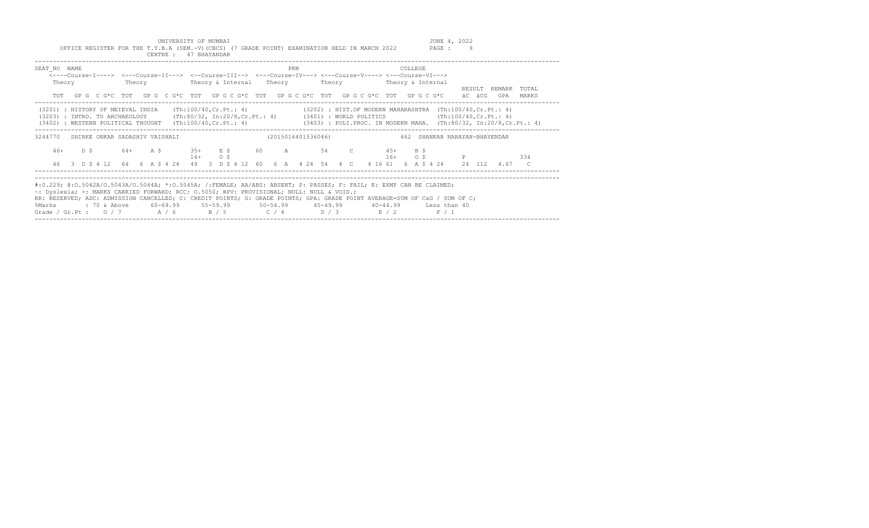UNIVERSITY OF MUMBAI<br>Y.B.A (SEM.-V)(CBCS) (7 GRADE POINT) EXAMINATION HELD IN MARCH 2022 PAGE : 9 OFFICE REGISTER FOR THE T.Y.B.A (SEM.-V)(CBCS) (7 GRADE POINT) EXAMINATION HELD IN MARCH 2022

|                        | CENTRE : 47 BHAYANDAR |                                                                                                                                                                                                                                                                                                                                                                                                                                                                                                                              |                                                                                                                              |
|------------------------|-----------------------|------------------------------------------------------------------------------------------------------------------------------------------------------------------------------------------------------------------------------------------------------------------------------------------------------------------------------------------------------------------------------------------------------------------------------------------------------------------------------------------------------------------------------|------------------------------------------------------------------------------------------------------------------------------|
| SEAT NO NAME<br>Theory |                       | PRN<br><----Course-I----> <---Course-II---> <--Course-III--> <---Course-IV---> <---Course-V----> <---Course-VI--->                                                                                                                                                                                                                                                                                                                                                                                                           | COLLEGE<br>RESULT REMARK TOTAL                                                                                               |
|                        |                       | TOT GPG CG*C TOT GPG CG*C TOT GPGCG*C TOT GPGCG*C TOT GPGCG*C TOT GPGCG*C TOT GPGCG*C äC äCG                                                                                                                                                                                                                                                                                                                                                                                                                                 | GPA MARKS                                                                                                                    |
|                        |                       | (3201) : HISTORY OF MEIEVAL INDIA (Th:100/40,Cr.Pt.: 4) (3202) : HIST.OF MODERN MAHARASHTRA (Th:100/40,Cr.Pt.: 4)<br>(3203) : INTRO. TO ARCHAEOLOGY (Th:80/32, In:20/8,Cr.Pt.: 4) (3401) : WORLD POLITICS (Th:100/40,Cr.Pt.: 4)                                                                                                                                                                                                                                                                                              | (3402) : WESTERN POLITICAL THOUGHT (Th:100/40, Cr.Pt.: 4) (3403) : POLI.PROC. IN MODERN MAHA. (Th:80/32, In:20/8, Cr.Pt.: 4) |
|                        |                       | 3244770 SHIRKE ONKAR SADASHIV VAISHALI (2015016401536046) 462 SHANKAR NARAYAN-BHAYENDAR                                                                                                                                                                                                                                                                                                                                                                                                                                      |                                                                                                                              |
|                        | $14+$ 0 \$            | 46+ D \$ 64+ A \$ 35+ E \$ 60 A 54 C 45+ B \$                                                                                                                                                                                                                                                                                                                                                                                                                                                                                | $16+$ 0 \$ P<br>334                                                                                                          |
| 46                     |                       |                                                                                                                                                                                                                                                                                                                                                                                                                                                                                                                              | 3 D \$ 4 12 64 6 A \$ 4 24 49 3 D \$ 4 12 60 6 A 4 24 54 4 C 4 16 61 6 A \$ 4 24 24 112 4.67 C                               |
| %Marks                 |                       | #:0.229; @:0.5042A/0.5043A/0.5044A; *:0.5045A; /:FEMALE; AA/ABS: ABSENT; P: PASSES; F: FAIL; E: EXMP CAN BE CLAIMED;<br>~: Dyslexia; +: MARKS CARRIED FORWARD; RCC: 0.5050; RPV: PROVISIONAL; NULL: NULL & VOID.;<br>RR: RESERVED; ADC: ADMISSION CANCELLED; C: CREDIT POINTS; G: GRADE POINTS; GPA: GRADE POINT AVERAGE=SUM OF CxG / SUM OF C;<br>: 70 & Above       60-69.99       55-59.99        50-54.99        45-49.99        40-44.99       Less than 40<br>Grade / Gr.Pt: $0/7$ $A/6$ $B/5$ $C/4$ $D/3$ $E/2$ $F/1$ |                                                                                                                              |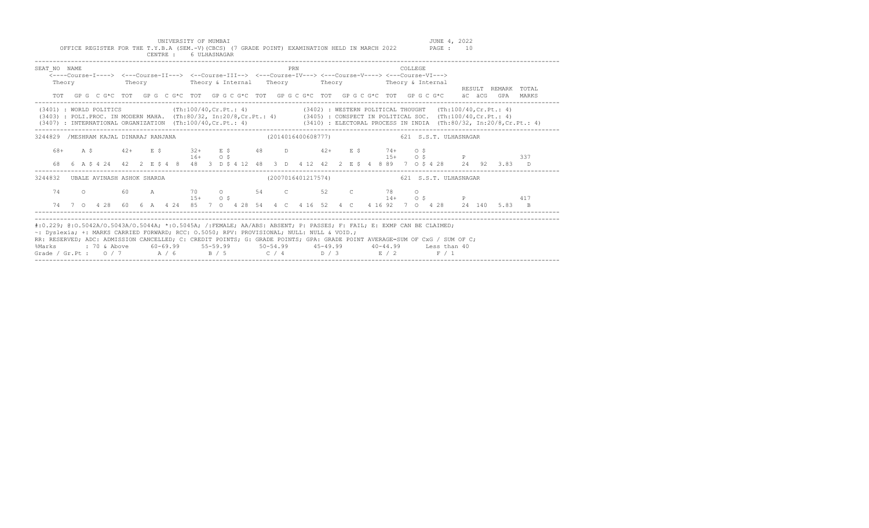UNIVERSITY OF MUMBAI JUNE 4, 2022 OFFICE REGISTER FOR THE T.Y.B.A (SEM.-V)(CBCS) (7 GRADE POINT) EXAMINATION HELD IN MARCH 2022 PAGE : 10

|                                                                                                                                                                                                                                                                                                                                                                                                                       |  |                                                                                                                                                                                               |  |  | CENTRE : 6 ULHASNAGAR |  |  |  |     |  |  |  |  |         |  |                                         |                     |  |     |  |
|-----------------------------------------------------------------------------------------------------------------------------------------------------------------------------------------------------------------------------------------------------------------------------------------------------------------------------------------------------------------------------------------------------------------------|--|-----------------------------------------------------------------------------------------------------------------------------------------------------------------------------------------------|--|--|-----------------------|--|--|--|-----|--|--|--|--|---------|--|-----------------------------------------|---------------------|--|-----|--|
| SEAT NO NAME                                                                                                                                                                                                                                                                                                                                                                                                          |  | <----Course-I----> <---Course-II---> <--Course-III--> <---Course-IV---> <---Course-V----> <---Course-VI---><br>Theory Theory Theory & Internal Theory Theory Theory Theory & Internal         |  |  |                       |  |  |  | PRN |  |  |  |  | COLLEGE |  |                                         | RESULT REMARK TOTAL |  |     |  |
|                                                                                                                                                                                                                                                                                                                                                                                                                       |  | TOT GPG CG*C TOT GPG CG*C TOT GPG CG*C TOT GPG CG*C TOT GPG CG*C TOT GPG CG*C äC äCG GPA MARKS                                                                                                |  |  |                       |  |  |  |     |  |  |  |  |         |  |                                         |                     |  |     |  |
| (3401): WORLD POLITICS (Th:100/40,Cr.Pt.: 4) (3402): WESTERN POLITICAL THOUGHT (Th:100/40,Cr.Pt.: 4)<br>(3403) : POLI.PROC. IN MODERN MAHA. (Th:80/32, In:20/8,Cr.Pt.: 4) (3405) : CONSPECT IN POLITICAL SOC. (Th:100/40,Cr.Pt.: 4)<br>(3407) : INTERNATIONAL ORGANIZATION (Th:100/40, Cr. Pt.: 4) (3410) : ELECTORAL PROCESS IN INDIA (Th:80/32, In:20/8, Cr. Pt.: 4)                                                |  |                                                                                                                                                                                               |  |  |                       |  |  |  |     |  |  |  |  |         |  |                                         |                     |  |     |  |
| 3244829 /MESHRAM KAJAL DINARAJ RANJANA                                                                                                                                                                                                                                                                                                                                                                                |  |                                                                                                                                                                                               |  |  |                       |  |  |  |     |  |  |  |  |         |  |                                         |                     |  |     |  |
|                                                                                                                                                                                                                                                                                                                                                                                                                       |  | 68+ A \$ 42+ E \$ 32+ E \$ 48 D 42+ E \$ 74+ O \$<br>68  6  A   \$  4  24  42  2  E   \$  4  8  48  3  D  \$  4  12  48  3  D  4  12  42  2  E   \$  4  889  7  0  \$  4  28  24  92  3.83  D |  |  | $16+$ 0 \$            |  |  |  |     |  |  |  |  |         |  | $15+$ 0 \$ P 337                        |                     |  |     |  |
| 3244832 UBALE AVINASH ASHOK SHARDA                                                                                                                                                                                                                                                                                                                                                                                    |  |                                                                                                                                                                                               |  |  |                       |  |  |  |     |  |  |  |  |         |  | (2007016401217574) 621 S.S.T.ULHASNAGAR |                     |  |     |  |
| 74                                                                                                                                                                                                                                                                                                                                                                                                                    |  | 0 60 A 70 0 54 C 52 C 78 O<br>74 7 0 4 28 60 6 A 4 24 85 7 0 4 28 54 4 C 4 16 52 4 C 4 16 92 7 0 4 28 24 140 5.83 B                                                                           |  |  | $15+$ 0 S             |  |  |  |     |  |  |  |  |         |  | $14+$ 0 \$ P                            |                     |  | 417 |  |
| #:0.229; @:0.5042A/O.5043A/O.5044A; *:0.5045A; /:FEMALE; AA/ABS: ABSENT; P: PASSES; F: FAIL; E: EXMP CAN BE CLAIMED;<br>~: Dyslexia; +: MARKS CARRIED FORWARD; RCC: 0.5050; RPV: PROVISIONAL; NULL: NULL & VOID.;<br>RR: RESERVED; ADC: ADMISSION CANCELLED; C: CREDIT POINTS; G: GRADE POINTS; GPA: GRADE POINT AVERAGE=SUM OF CxG / SUM OF C;<br>%Marks<br>Grade / Gr.Pt: $0/7$ $A/6$ $B/5$ $C/4$ $D/3$ $E/2$ $F/1$ |  | : 70 & Above        60-69.99        55-59.99        50-54.99        45-49.99        40-44.99      Less than 40                                                                                |  |  |                       |  |  |  |     |  |  |  |  |         |  |                                         |                     |  |     |  |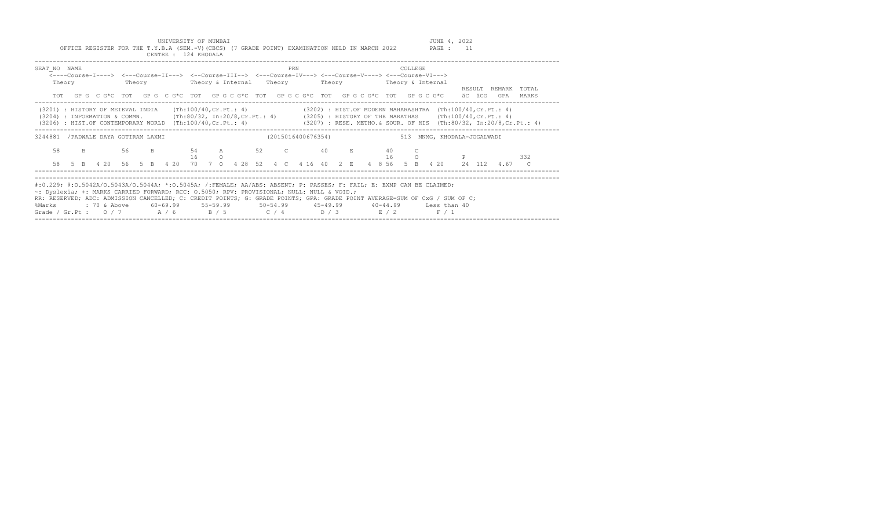UNIVERSITY OF MUMBAI JUNE 4, 2022<br>Y.B.A (SEM.-V)(CBCS) (7 GRADE POINT) EXAMINATION HELD IN MARCH 2022 PAGE : 11 OFFICE REGISTER FOR THE T.Y.B.A (SEM.-V)(CBCS) (7 GRADE POINT) EXAMINATION HELD IN MARCH 2022 CENTRE : 124 KHODALA

| SEAT NO NAME                                                                                                                                                                                                                                                                                                                                                                                                     | Theory |              |  |                            |    | <----Course-I----> <---Course-II---> <--Course-III--> <---Course-IV---> <---Course-V----> <---Course-VI---><br>Theory Theory & Internal Theory Theory Theory & Internal |        |         |                      |  | PRN |  |                         |  |                        | COLLEGE                 |       |                             |                                                                | RESULT REMARK TOTAL |  |
|------------------------------------------------------------------------------------------------------------------------------------------------------------------------------------------------------------------------------------------------------------------------------------------------------------------------------------------------------------------------------------------------------------------|--------|--------------|--|----------------------------|----|-------------------------------------------------------------------------------------------------------------------------------------------------------------------------|--------|---------|----------------------|--|-----|--|-------------------------|--|------------------------|-------------------------|-------|-----------------------------|----------------------------------------------------------------|---------------------|--|
|                                                                                                                                                                                                                                                                                                                                                                                                                  |        |              |  |                            |    | TOT GPG CG*C TOT GPG CG*C TOT GPGCG*C TOT GPGCG*C TOT GPGCG*C TOT GPGCG*C TOT GPGCG*C äC äCG                                                                            |        |         |                      |  |     |  |                         |  |                        |                         |       |                             | GPA                                                            | MARKS               |  |
| (3201) : HISTORY OF MEIEVAL INDIA<br>(3204) : INFORMATION & COMMN. (Th:80/32, In:20/8, Cr. Pt.: 4) (3205) : HISTORY OF THE MARATHAS (Th:100/40, Cr. Pt.: 4)<br>(3206) : HIST.OF CONTEMPORARY WORLD (Th:100/40,Cr.Pt.: 4) (3207) : RESE. METHO.& SOUR. OF HIS (Th:80/32, In:20/8,Cr.Pt.: 4)                                                                                                                       |        |              |  |                            |    | $(\text{Th}:100/40, \text{Cr.Pt.}: 4)$                                                                                                                                  |        |         |                      |  |     |  |                         |  |                        |                         |       |                             | $(3202)$ : HIST.OF MODERN MAHARASHTRA $(Th:100/40, Cr.Pt.: 4)$ |                     |  |
| 3244881 / PADWALE DAYA GOTIRAM LAXMI                                                                                                                                                                                                                                                                                                                                                                             |        |              |  |                            |    |                                                                                                                                                                         |        |         |                      |  |     |  | (2015016400676354)      |  |                        |                         |       | 513 MNMG, KHODALA-JOGALWADI |                                                                |                     |  |
| 58<br>58                                                                                                                                                                                                                                                                                                                                                                                                         |        | $\mathbf{B}$ |  | 56<br>5 B 4 20 56 5 B 4 20 | B. | 16                                                                                                                                                                      | 70 7 0 | $\circ$ | 54 A 52 C<br>4 28 52 |  |     |  | 40 E<br>4 C 4 16 40 2 E |  | 40<br>16<br>4 8 56 5 B | $\mathsf{C}$<br>$\circ$ |       |                             | 4 20 24 112 4.67 C                                             | 332                 |  |
| #:0.229; @:0.5042A/O.5043A/O.5044A; *:0.5045A; /:FEMALE; AA/ABS: ABSENT; P: PASSES; F: FAIL; E: EXMP CAN BE CLAIMED;<br>~: Dyslexia; +: MARKS CARRIED FORWARD; RCC: 0.5050; RPV: PROVISIONAL; NULL: NULL & VOID.;<br>RR: RESERVED; ADC: ADMISSION CANCELLED; C: CREDIT POINTS; G: GRADE POINTS; GPA: GRADE POINT AVERAGE=SUM OF CxG / SUM OF C;<br>%Marks<br>Grade / Gr.Pt : $0/7$ $A/6$ $B/5$ $C/4$ $D/3$ $E/2$ |        |              |  |                            |    | : 70 & Above 60-69.99 55-59.99 50-54.99 45-49.99 40-44.99 Less than 40                                                                                                  |        |         |                      |  |     |  |                         |  |                        |                         | F / 1 |                             |                                                                |                     |  |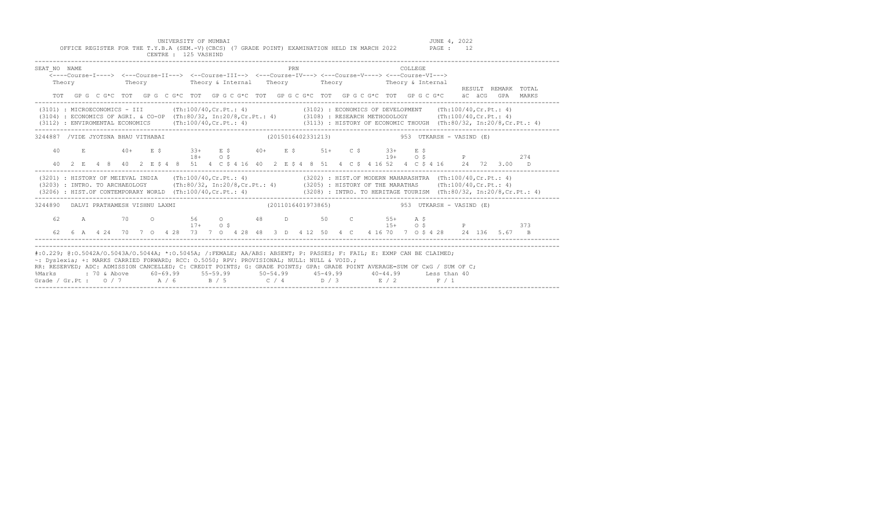UNIVERSITY OF MUMBAI JUNE 4, 2022

|                                                                                                            | CENTRE : 125 VASHIND        |                                                                                    | OFFICE REGISTER FOR THE T.Y.B.A (SEM.-V)(CBCS) (7 GRADE POINT) EXAMINATION HELD IN MARCH 2022                                          | PAGE :                                                                     | 12                                                                                 |
|------------------------------------------------------------------------------------------------------------|-----------------------------|------------------------------------------------------------------------------------|----------------------------------------------------------------------------------------------------------------------------------------|----------------------------------------------------------------------------|------------------------------------------------------------------------------------|
| SEAT NO NAME<br>Theory                                                                                     | Theory                      | Theory & Internal                                                                  | PRN<br><----Course-I----> <---Course-II---> <--Course-III--> <---Course-IV---> <---Course-V----> <---Course-VI---><br>Theory<br>Theory | COLLEGE<br>Theory & Internal                                               | TOTAL<br>RESULT<br>REMARK                                                          |
| TOT                                                                                                        | GPG CG*C TOT                |                                                                                    | GPG CG*C TOT GPG CG*C TOT GPG CG*C TOT GPG CG*C TOT GPG CG*C                                                                           |                                                                            | äC äCG<br>MARKS<br>GPA                                                             |
| (3101) : MICROECONOMICS - III<br>(3104) : ECONOMICS OF AGRI. & CO-OP<br>(3112) : ENVIROMENTAL ECONOMICS    |                             | (Th:100/40,Cr.Pt.: 4)<br>(Th:80/32, In:20/8, Cr. Pt.: 4)<br>(Th:100/40, Cr.Pt.: 4) | (3102) : ECONOMICS OF DEVELOPMENT<br>(3108) : RESEARCH METHODOLOGY                                                                     | (3113) : HISTORY OF ECONOMIC THOUGH                                        | (Th:100/40, Cr.Pt.: 4)<br>(Th:100/40, Cr.Pt.: 4)<br>(Th:80/32, In:20/8, Cr.Pt.: 4) |
| 3244887                                                                                                    | /VIDE JYOTSNA BHAU VITHABAI |                                                                                    | (2015016402331213)                                                                                                                     | 953<br>UTKARSH - VASIND (E)                                                |                                                                                    |
| 40<br>$E_{\rm c}$                                                                                          | $40+$<br>E \$               | E \$<br>$33+$<br>$40+$<br>O <sub>S</sub><br>$18+$                                  | E \$<br>$51+$<br>C \$                                                                                                                  | E \$<br>$33+$<br>$19+$<br>O <sub>S</sub>                                   | $_{\rm P}$<br>274                                                                  |
| 40<br>4 8<br>$\overline{2}$<br>E.                                                                          | 40<br>2 E \$ 4<br>$-8$      | 51<br>4 C \$ 4 16 40                                                               | 2 E \$ 4 8 51<br>4 C S                                                                                                                 | 4 16 52<br>4 C S 4 16                                                      | 2.4<br>72<br>3.00<br>D.                                                            |
| (3201) : HISTORY OF MEIEVAL INDIA<br>(3203) : INTRO. TO ARCHAEOLOGY<br>(3206) : HIST.OF CONTEMPORARY WORLD |                             | (Th:100/40, Cr.Pt.: 4)<br>(Th:80/32, In:20/8, Cr.Pt.: 4)<br>(Th:100/40, Cr.Pt.: 4) | (3205) : HISTORY OF THE MARATHAS                                                                                                       | (3202) : HIST.OF MODERN MAHARASHTRA<br>(3208) : INTRO. TO HERITAGE TOURISM | (Th:100/40, Cr.Pt.: 4)<br>(Th:100/40, Cr.Pt.: 4)<br>(Th:80/32, In:20/8, Cr.Pt.: 4) |

3244890 DALVI PRATHAMESH VISHNU LAXMI (2011016401973865) 953 UTKARSH - VASIND (E)

#:0.229; @:O.5042A/O.5043A/O.5044A; \*:O.5045A; /:FEMALE; AA/ABS: ABSENT; P: PASSES; F: FAIL; E: EXMP CAN BE CLAIMED;

Grade / Gr.Pt :  $0/7$   $A/6$   $B/5$   $C/4$   $D/3$   $E/2$ 

RR: RESERVED; ADC: ADMISSION CANCELLED; C: CREDIT POINTS; G: GRADE POINTS; GPA: GRADE POINT AVERAGE=SUM OF CxG / SUM OF C; %Marks : 70 & Above 60-69.99 55-59.99 50-54.99 45-49.99 40-44.99 Less than 40<br>Grade / Gr.Pt : 0 / 7 A / 6 B / 5 C / 4 D / 3 E / 2 F / 1

~: Dyslexia; +: MARKS CARRIED FORWARD; RCC: O.5050; RPV: PROVISIONAL; NULL: NULL & VOID.;

-------------------------------------------------------------------------------------------------------------------------------------------------

-------------------------------------------------------------------------------------------------------------------------------------------------

 62 A 70 O 56 O 48 D 50 C 55+ A \$ 17+ O \$ 15+ O \$ P 373 62 6 A 4 24 70 7 O 4 28 73 7 O 4 28 48 3 D 4 12 50 4 C 4 16 70 7 O \$ 4 28 24 136 5.67 B ------------------------------------------------------------------------------------------------------------------------------------------------- -------------------------------------------------------------------------------------------------------------------------------------------------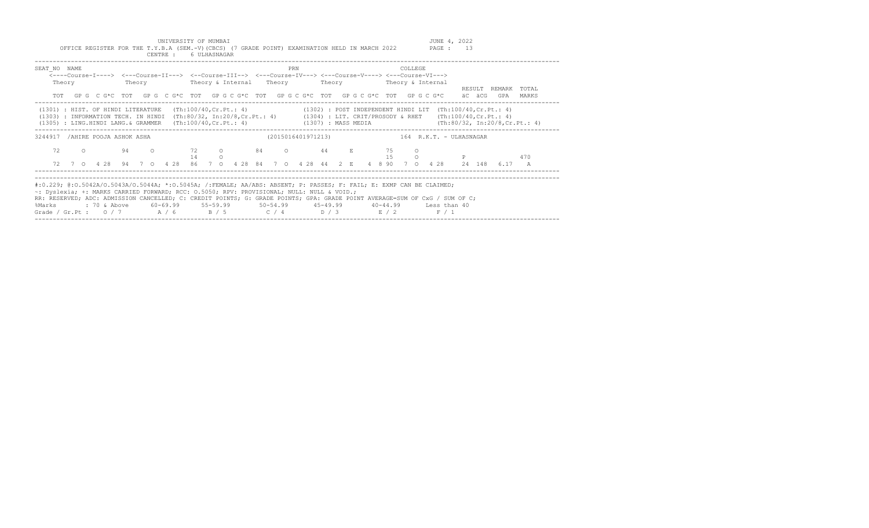UNIVERSITY OF MUMBAI<br>Y.B.A (SEM.-V)(CBCS) (7 GRADE POINT) EXAMINATION HELD IN MARCH 2022 PAGE : 13 OFFICE REGISTER FOR THE T.Y.B.A (SEM.-V)(CBCS) (7 GRADE POINT) EXAMINATION HELD IN MARCH 2022

|                                                                                                                                                                                                                                                                                                                                                                                                                                    |        |  |                                                                                                             |        | CENTRE : |  | 6 ULHASNAGAR |         |  |  |     |  |  |  |  |         |                                                   |                                                                                                                                                                                    |               |     |                                                                            |  |
|------------------------------------------------------------------------------------------------------------------------------------------------------------------------------------------------------------------------------------------------------------------------------------------------------------------------------------------------------------------------------------------------------------------------------------|--------|--|-------------------------------------------------------------------------------------------------------------|--------|----------|--|--------------|---------|--|--|-----|--|--|--|--|---------|---------------------------------------------------|------------------------------------------------------------------------------------------------------------------------------------------------------------------------------------|---------------|-----|----------------------------------------------------------------------------|--|
| SEAT NO NAME                                                                                                                                                                                                                                                                                                                                                                                                                       | Theory |  | <----Course-I----> <---Course-II---> <--Course-III--> <---Course-IV---> <---Course-V----> <---Course-VI---> | Theory |          |  |              |         |  |  | PRN |  |  |  |  | COLLEGE | Theory & Internal Theory Theory Theory & Internal |                                                                                                                                                                                    | RESULT REMARK |     | TOTAL                                                                      |  |
|                                                                                                                                                                                                                                                                                                                                                                                                                                    |        |  |                                                                                                             |        |          |  |              |         |  |  |     |  |  |  |  |         |                                                   | TOT GPG C G*C TOT GPG C G*C TOT GPG C G*C TOT GPG C G*C TOT GPG C G*C TOT GPG C G*C aC aCG                                                                                         |               | GPA | MARKS                                                                      |  |
| (1301) : HIST. OF HINDI LITERATURE<br>(1303) : INFORMATION TECH. IN HINDI<br>(1305) : LING.HINDI LANG.& GRAMMER                                                                                                                                                                                                                                                                                                                    |        |  |                                                                                                             |        |          |  |              |         |  |  |     |  |  |  |  |         |                                                   | $(Th:100/40, Cr.Pt.: 4)$ (1302) : POST INDEPENDENT HINDI LIT (Th:100/40, Cr. Pt. : 4)<br>(Th:80/32, In:20/8, Cr. Pt.: 4) (1304) : LIT. CRIT/PROSODY & RHET (Th:100/40, Cr. Pt.: 4) |               |     | (Th:100/40, Cr. Pt.: 4) (1307): MASS MEDIA (Th:80/32, In:20/8, Cr. Pt.: 4) |  |
| 3244917 / AHIRE POOJA ASHOK ASHA                                                                                                                                                                                                                                                                                                                                                                                                   |        |  |                                                                                                             |        |          |  |              |         |  |  |     |  |  |  |  |         |                                                   | (2015016401971213) 164 R.K.T. - ULHASNAGAR                                                                                                                                         |               |     |                                                                            |  |
| 72                                                                                                                                                                                                                                                                                                                                                                                                                                 |        |  | $\circ$ 0 94 0                                                                                              |        |          |  | 14           | $\circ$ |  |  |     |  |  |  |  |         |                                                   | 15 0 P                                                                                                                                                                             |               |     | 470                                                                        |  |
| 72                                                                                                                                                                                                                                                                                                                                                                                                                                 |        |  |                                                                                                             |        |          |  |              |         |  |  |     |  |  |  |  |         |                                                   | 7 0 4 28 94 7 0 4 28 86 7 0 4 28 84 7 0 4 28 44 2 E 4 8 90 7 0 4 28 24 148 6.17 A                                                                                                  |               |     |                                                                            |  |
| #:0.229; @:0.5042A/O.5043A/O.5044A; *:0.5045A; /:FEMALE; AA/ABS: ABSENT; P: PASSES; F: FAIL; E: EXMP CAN BE CLAIMED;<br>~: Dyslexia; +: MARKS CARRIED FORWARD; RCC: 0.5050; RPV: PROVISIONAL; NULL: NULL & VOID.;<br>RR: RESERVED; ADC: ADMISSION CANCELLED; C: CREDIT POINTS; G: GRADE POINTS; GPA: GRADE POINT AVERAGE=SUM OF CxG / SUM OF C;<br>%Marks<br>Grade / Gr.Pt : 0 / 7 $A$ / 6 $B$ / 5 $C$ / 4 $D$ / 3 $E$ / 2 $F$ / 1 |        |  |                                                                                                             |        |          |  |              |         |  |  |     |  |  |  |  |         |                                                   | : 70 & Above       60–69.99       55–59.99         50–54.99        45–49.99        40–44.99        Less than 40                                                                    |               |     |                                                                            |  |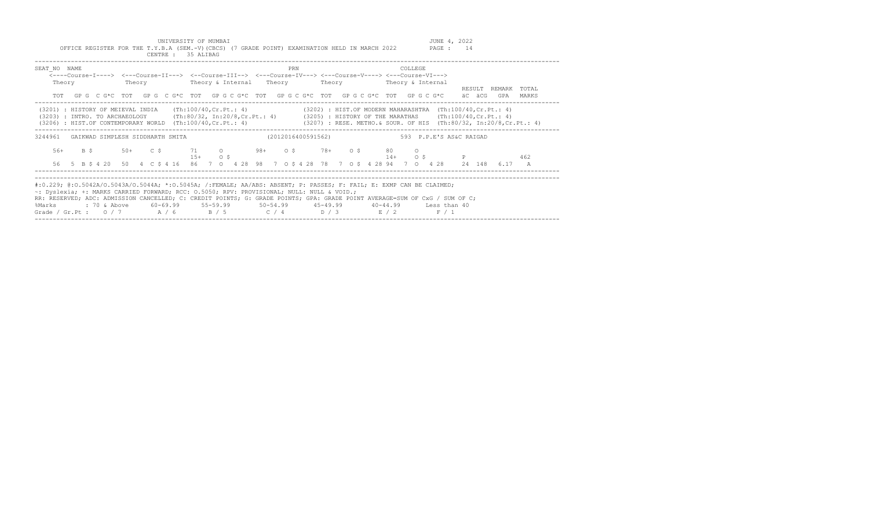UNIVERSITY OF MUMBAI<br>Y.B.A (SEM.-V)(CBCS) (7 GRADE POINT) EXAMINATION HELD IN MARCH 2022 PAGE : 14 OFFICE REGISTER FOR THE T.Y.B.A (SEM.-V)(CBCS) (7 GRADE POINT) EXAMINATION HELD IN MARCH 2022

|                        | CENTRE : 35 ALIBAG |                                                                                                                                                                                                                                                                                                                                                                                                                                                                                                                             |                         |                        |
|------------------------|--------------------|-----------------------------------------------------------------------------------------------------------------------------------------------------------------------------------------------------------------------------------------------------------------------------------------------------------------------------------------------------------------------------------------------------------------------------------------------------------------------------------------------------------------------------|-------------------------|------------------------|
| SEAT NO NAME<br>Theory |                    | PRN<br><----Course-I----> <---Course-II---> <--Course-III--> <---Course-IV---> <---Course-V----> <---Course-VI--->                                                                                                                                                                                                                                                                                                                                                                                                          | COLLEGE                 | RESULT REMARK<br>TOTAL |
|                        |                    | TOT GPG C G*C TOT GPG C G*C TOT GPG C G*C TOT GPG C G*C TOT GPG C G*C TOT GPG C G*C aC aCG                                                                                                                                                                                                                                                                                                                                                                                                                                  |                         | GPA<br>MARKS           |
|                        |                    | (3201) : HISTORY OF MEIEVAL INDIA (Th:100/40, Cr. Pt.: 4) (3202) : HIST. OF MODERN MAHARASHTRA (Th:100/40, Cr. Pt.: 4)<br>(3203) : INTRO. TO ARCHAEOLOGY (Th:80/32, In:20/8, Cr. Pt.: 4) (3205) : HISTORY OF THE MARATHAS (Th:100/40, Cr. Pt.: 4)<br>(3206) : HIST.OF CONTEMPORARY WORLD (Th:100/40, Cr.Pt.: 4) (3207) : RESE. METHO. & SOUR. OF HIS (Th:80/32, In:20/8, Cr.Pt.: 4)                                                                                                                                         |                         |                        |
| 3244961                |                    | GAIKWAD SIMPLESH SIDDHARTH SMITA                           (2012016400591562)                                                                                                                                                                                                                                                                                                                                                                                                                                               | 593 P.P.E'S AS&C RAIGAD |                        |
|                        | $15+$ 0 \$         | 56+ B \$ 50+ C \$ 71 0 98+ 0 \$ 78+ 0 \$ 80 0                                                                                                                                                                                                                                                                                                                                                                                                                                                                               | $14+$ 0 \$ P            | 462                    |
|                        |                    | 56 5 B \$ 4 20 50 4 C \$ 4 16 86 7 0 4 28 98 7 0 \$ 4 28 78 7 0 \$ 4 28 94 7 0 4 28 24 148                                                                                                                                                                                                                                                                                                                                                                                                                                  |                         | 6.17 A                 |
| %Marks                 |                    | #:0.229; @:0.5042A/O.5043A/O.5044A; *:0.5045A; /:FEMALE; AA/ABS: ABSENT; P: PASSES; F: FAIL; E: EXMP CAN BE CLAIMED;<br>~: Dyslexia; +: MARKS CARRIED FORWARD; RCC: 0.5050; RPV: PROVISIONAL; NULL: NULL & VOID.;<br>RR: RESERVED; ADC: ADMISSION CANCELLED; C: CREDIT POINTS; G: GRADE POINTS; GPA: GRADE POINT AVERAGE=SUM OF CxG / SUM OF C;<br>: 70 & Above        60-69.99        55-59.99        50-54.99        45-49.99        40-44.99        Less than 40<br>Grade / Gr. Pt : $0/7$ $A/6$ $B/5$ $C/4$ $D/3$ $E/2$ | F / 1                   |                        |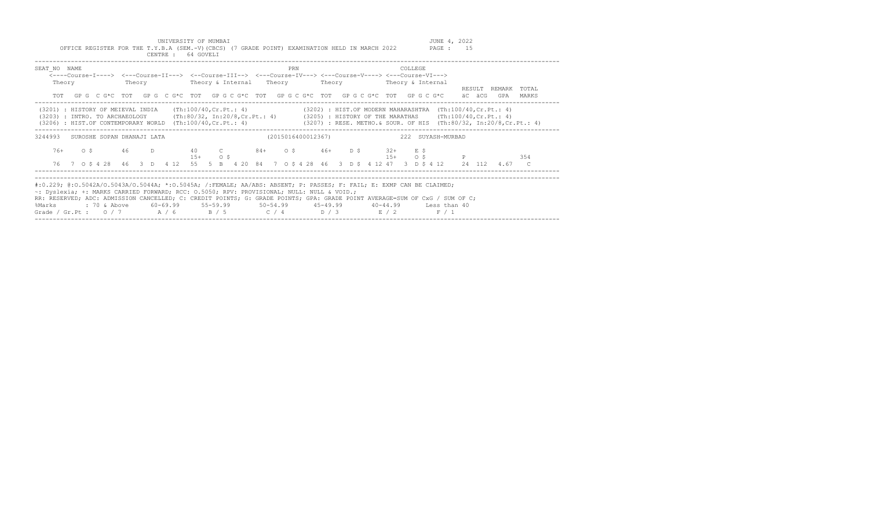UNIVERSITY OF MUMBAI<br>Y.B.A (SEM.-V)(CBCS) (7 GRADE POINT) EXAMINATION HELD IN MARCH 2022 PAGE : 15 OFFICE REGISTER FOR THE T.Y.B.A (SEM.-V)(CBCS) (7 GRADE POINT) EXAMINATION HELD IN MARCH 2022

|                                                                                                                                                                                                                                                                                                                                                                                                                  |  |                                                                                                                  | CENTRE : |  | 64 GOVELI |            |  |                    |     |  |  |  |                |  |       |                                   |  |                                                                                                   |       |  |
|------------------------------------------------------------------------------------------------------------------------------------------------------------------------------------------------------------------------------------------------------------------------------------------------------------------------------------------------------------------------------------------------------------------|--|------------------------------------------------------------------------------------------------------------------|----------|--|-----------|------------|--|--------------------|-----|--|--|--|----------------|--|-------|-----------------------------------|--|---------------------------------------------------------------------------------------------------|-------|--|
| SEAT NO NAME<br><----Course-I----> <---Course-II---> <--Course-III--> <---Course-IV---> <---Course-V----> <---Course-VI---><br>Theory                                                                                                                                                                                                                                                                            |  |                                                                                                                  |          |  |           |            |  |                    | PRN |  |  |  | <b>COLLEGE</b> |  |       |                                   |  | RESULT REMARK                                                                                     | TOTAL |  |
|                                                                                                                                                                                                                                                                                                                                                                                                                  |  | TOT GPG C G*C TOT GPG C G*C TOT GPG C G*C TOT GPG C G*C TOT GPG C G*C TOT GPG C G*C aC aCG                       |          |  |           |            |  |                    |     |  |  |  |                |  |       |                                   |  | GPA                                                                                               | MARKS |  |
| (3201) : HISTORY OF MEIEVAL INDIA (Th:100/40,Cr.Pt.: 4) (3202) : HIST.OF MODERN MAHARASHTRA (Th:100/40,Cr.Pt.: 4)<br>(3203) : INTRO. TO ARCHAEOLOGY (Th:80/32, In:20/8,Cr.Pt.: 4) (3205) : HISTORY OF THE MARATHAS (Th:100/40,Cr.Pt.: 4)<br>(3206) : HIST.OF CONTEMPORARY WORLD (Th:100/40, Cr.Pt.: 4) (3207) : RESE. METHO. & SOUR. OF HIS (Th:80/32, In:20/8, Cr.Pt.: 4)                                       |  |                                                                                                                  |          |  |           |            |  |                    |     |  |  |  |                |  |       | --------------------------------- |  |                                                                                                   |       |  |
| 3244993 SUROSHE SOPAN DHANAJI LATA                                                                                                                                                                                                                                                                                                                                                                               |  |                                                                                                                  |          |  |           |            |  | (2015016400012367) |     |  |  |  |                |  |       | 222 SUYASH-MURBAD                 |  |                                                                                                   |       |  |
|                                                                                                                                                                                                                                                                                                                                                                                                                  |  | 76+ 0 \$ 46 D 40 C 84+ 0 \$ 46+ D \$ 32+ E \$                                                                    |          |  |           | $15+$ 0 \$ |  |                    |     |  |  |  |                |  |       | $15+$ 0 \$ P                      |  |                                                                                                   | 354   |  |
|                                                                                                                                                                                                                                                                                                                                                                                                                  |  |                                                                                                                  |          |  |           |            |  |                    |     |  |  |  |                |  |       |                                   |  | 76 7 0 \$ 4 28 46 3 D 4 12 55 5 B 4 20 84 7 0 \$ 4 28 46 3 D \$ 4 12 47 3 D \$ 4 12 24 112 4.67 C |       |  |
| #:0.229; @:0.5042A/O.5043A/O.5044A; *:0.5045A; /:FEMALE; AA/ABS: ABSENT; P: PASSES; F: FAIL; E: EXMP CAN BE CLAIMED;<br>~: Dyslexia; +: MARKS CARRIED FORWARD; RCC: 0.5050; RPV: PROVISIONAL; NULL: NULL & VOID.;<br>RR: RESERVED; ADC: ADMISSION CANCELLED; C: CREDIT POINTS; G: GRADE POINTS; GPA: GRADE POINT AVERAGE=SUM OF CxG / SUM OF C;<br>%Marks<br>Grade / Gr.Pt : $0/7$ $A/6$ $B/5$ $C/4$ $D/3$ $E/2$ |  | : 70 & Above        60-69.99        55-59.99        50-54.99        45-49.99        40-44.99        Less than 40 |          |  |           |            |  |                    |     |  |  |  |                |  | F / 1 |                                   |  |                                                                                                   |       |  |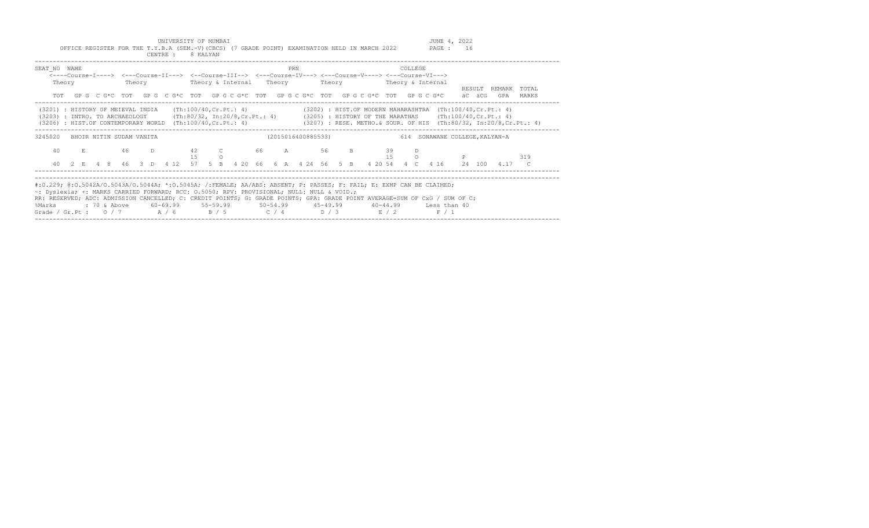UNIVERSITY OF MUMBAI JUNE 4, 2022 OFFICE REGISTER FOR THE T.Y.B.A (SEM.-V)(CBCS) (7 GRADE POINT) EXAMINATION HELD IN MARCH 2022 PAGE : 16

|                                                                                                                                                                                                                                                                                                                                                                                                                       |        |  |  |  |  | CENTRE : 8 KALYAN |  |                                                                                                            |  |     |                    |  |  |  |         |  |        |                                                                                                                       |       |  |
|-----------------------------------------------------------------------------------------------------------------------------------------------------------------------------------------------------------------------------------------------------------------------------------------------------------------------------------------------------------------------------------------------------------------------|--------|--|--|--|--|-------------------|--|------------------------------------------------------------------------------------------------------------|--|-----|--------------------|--|--|--|---------|--|--------|-----------------------------------------------------------------------------------------------------------------------|-------|--|
| SEAT NO NAME                                                                                                                                                                                                                                                                                                                                                                                                          | Theory |  |  |  |  |                   |  | <---Course-I----> <---Course-II---> <--Course-III--> <---Course-IV---> <---Course-V----> <---Course-VI---> |  | PRN |                    |  |  |  | COLLEGE |  | RESULT | REMARK                                                                                                                | TOTAL |  |
|                                                                                                                                                                                                                                                                                                                                                                                                                       |        |  |  |  |  |                   |  | TOT GPG C G*C TOT GPG C G*C TOT GPG C G*C TOT GPG C G*C TOT GPG C G*C TOT GPG C G*C aC aCG                 |  |     |                    |  |  |  |         |  |        | GPA                                                                                                                   | MARKS |  |
| (3201) : HISTORY OF MEIEVAL INDIA (Th:100/40, Cr. Pt.: 4) (3202) : HIST. OF MODERN MAHARASHTRA (Th:100/40, Cr. Pt.: 4)<br>(3203) : INTRO. TO ARCHAEOLOGY (Th:80/32, In:20/8,Cr.Pt.: 4) (3205) : HISTORY OF THE MARATHAS (Th:100/40,Cr.Pt.: 4)<br>(3206) : HIST.OF CONTEMPORARY WORLD (Th:100/40, Cr.Pt.: 4) (3207) : RESE. METHO. & SOUR. OF HIS (Th:80/32, In:20/8, Cr.Pt.: 4)                                       |        |  |  |  |  |                   |  |                                                                                                            |  |     |                    |  |  |  |         |  |        |                                                                                                                       |       |  |
| 3245020 BHOIR NITIN SUDAM VANITA                                                                                                                                                                                                                                                                                                                                                                                      |        |  |  |  |  |                   |  |                                                                                                            |  |     | (2015016400885533) |  |  |  |         |  |        | 614 SONAWANE COLLEGE, KALYAN-A                                                                                        |       |  |
|                                                                                                                                                                                                                                                                                                                                                                                                                       |        |  |  |  |  | 15 0              |  | 40 E 46 D 42 C 66 A 56 B 39                                                                                |  |     |                    |  |  |  | D       |  |        |                                                                                                                       |       |  |
|                                                                                                                                                                                                                                                                                                                                                                                                                       |        |  |  |  |  |                   |  |                                                                                                            |  |     |                    |  |  |  |         |  |        | 40  2  E  4  8  46  3  D  4  12  57  5  B  4  20  66  6  A  4  24  56  5  B  4  20  54  4  C  4  16  24  100  4.17  C |       |  |
| #:0.229; @:0.5042A/0.5043A/0.5044A; *:0.5045A; /:FEMALE; AA/ABS: ABSENT; P: PASSES; F: FAIL; E: EXMP CAN BE CLAIMED;<br>~: Dyslexia; +: MARKS CARRIED FORWARD; RCC: 0.5050; RPV: PROVISIONAL; NULL: NULL & VOID.;<br>RR: RESERVED; ADC: ADMISSION CANCELLED; C: CREDIT POINTS; G: GRADE POINTS; GPA: GRADE POINT AVERAGE=SUM OF CxG / SUM OF C;<br>%Marks<br>Grade / Gr.Pt: $0/7$ $A/6$ $B/5$ $C/4$ $D/3$ $E/2$ $F/1$ |        |  |  |  |  |                   |  |                                                                                                            |  |     |                    |  |  |  |         |  |        |                                                                                                                       |       |  |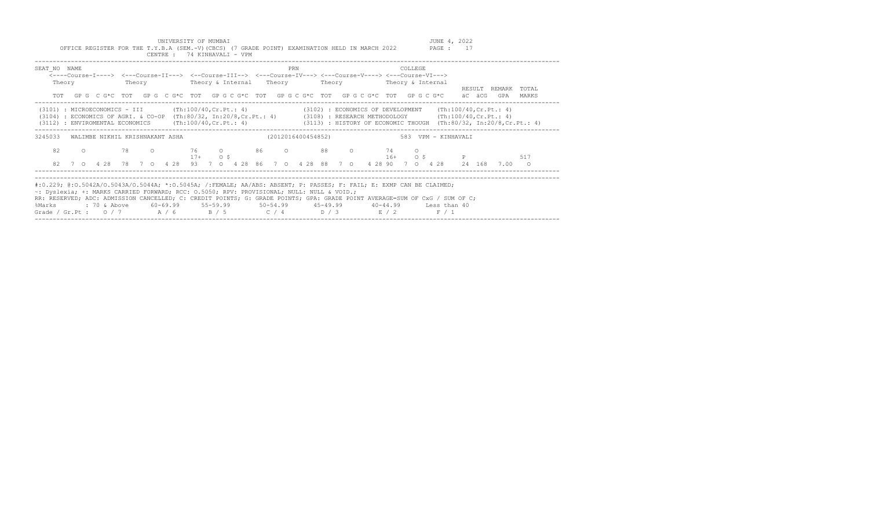UNIVERSITY OF MUMBAI<br>Y.B.A (SEM.-V)(CBCS) (7 GRADE POINT) EXAMINATION HELD IN MARCH 2022 PAGE : 17 OFFICE REGISTER FOR THE T.Y.B.A (SEM.-V)(CBCS) (7 GRADE POINT) EXAMINATION HELD IN MARCH 2022

|                                                                                                                                                                                                                                                                                                                                                                                   |         |  |        | CENTRE : |  |                                 |  | 74 KINHAVALI - VPM                                                                                                                            |  |     |  |                    |  |  |         |  |                                                                                                    |        |      |                                 |  |
|-----------------------------------------------------------------------------------------------------------------------------------------------------------------------------------------------------------------------------------------------------------------------------------------------------------------------------------------------------------------------------------|---------|--|--------|----------|--|---------------------------------|--|-----------------------------------------------------------------------------------------------------------------------------------------------|--|-----|--|--------------------|--|--|---------|--|----------------------------------------------------------------------------------------------------|--------|------|---------------------------------|--|
| SEAT NO NAME<br>Theory                                                                                                                                                                                                                                                                                                                                                            |         |  | Theory |          |  |                                 |  | <---Course-I----> <---Course-II---> <--Course-III--> <---Course-IV---> <---Course-V----> <---Course-VI---><br>Theory & Internal Theory Theory |  | PRN |  |                    |  |  | COLLEGE |  | Theory & Internal<br>TOT GPG CG*C TOT GPG CG*C TOT GPG CG*C TOT GPG CG*C TOT GPG CG*C TOT GPG CG*C | äC äCG | GPA  | RESULT REMARK TOTAL<br>MARKS    |  |
| $(3101)$ : MICROECONOMICS - III $(Th:100/40, Cr.Pt.: 4)$ $(3102)$ : ECONOMICS OF DEVELOPMENT $(Th:100/40, Cr.Pt.: 4)$<br>(3104) : ECONOMICS OF AGRI. & CO-OP (Th:80/32, In:20/8, Cr. Pt.: 4) (3108) : RESEARCH METHODOLOGY (Th:100/40, Cr. Pt.: 4)<br>(3112) : ENVIROMENTAL ECONOMICS (Th:100/40, Cr. Pt.: 4) (3113) : HISTORY OF ECONOMIC THOUGH (Th:80/32, In:20/8, Cr. Pt.: 4) |         |  |        |          |  |                                 |  |                                                                                                                                               |  |     |  |                    |  |  |         |  |                                                                                                    |        |      |                                 |  |
| 3245033                                                                                                                                                                                                                                                                                                                                                                           |         |  |        |          |  | WALIMBE NIKHIL KRISHNAKANT ASHA |  |                                                                                                                                               |  |     |  | (2012016400454852) |  |  |         |  | 583 VPM - KINHAVALI                                                                                |        |      |                                 |  |
| 82<br>82                                                                                                                                                                                                                                                                                                                                                                          | $\circ$ |  |        |          |  | $17+$ 0 \$                      |  |                                                                                                                                               |  |     |  |                    |  |  |         |  | $16+$ 0 \$ P<br>7 0 4 28 78 7 0 4 28 93 7 0 4 28 86 7 0 4 28 88 7 0 4 28 90 7 0 4 28 24 168        |        | 7.00 | 517<br>$\overline{\phantom{0}}$ |  |
| #:0.229; @:0.5042A/0.5043A/0.5044A; *:0.5045A; /:FEMALE; AA/ABS: ABSENT; P: PASSES; F: FAIL; E: EXMP CAN BE CLAIMED;                                                                                                                                                                                                                                                              |         |  |        |          |  |                                 |  |                                                                                                                                               |  |     |  |                    |  |  |         |  |                                                                                                    |        |      |                                 |  |
| ~: Dyslexia; +: MARKS CARRIED FORWARD; RCC: 0.5050; RPV: PROVISIONAL; NULL: NULL & VOID.;<br>RR: RESERVED; ADC: ADMISSION CANCELLED; C: CREDIT POINTS; G: GRADE POINTS; GPA: GRADE POINT AVERAGE=SUM OF CxG / SUM OF C;<br>%Marks<br>Grade / Gr.Pt : $0/7$ $A/6$ $B/5$ $C/4$ $D/3$ $E/2$                                                                                          |         |  |        |          |  |                                 |  | : 70 & Above 60-69.99 55-59.99                                                                                                                |  |     |  |                    |  |  |         |  | 50-54.99  45-49.99  40-44.99  Less than 40<br>F / 1                                                |        |      |                                 |  |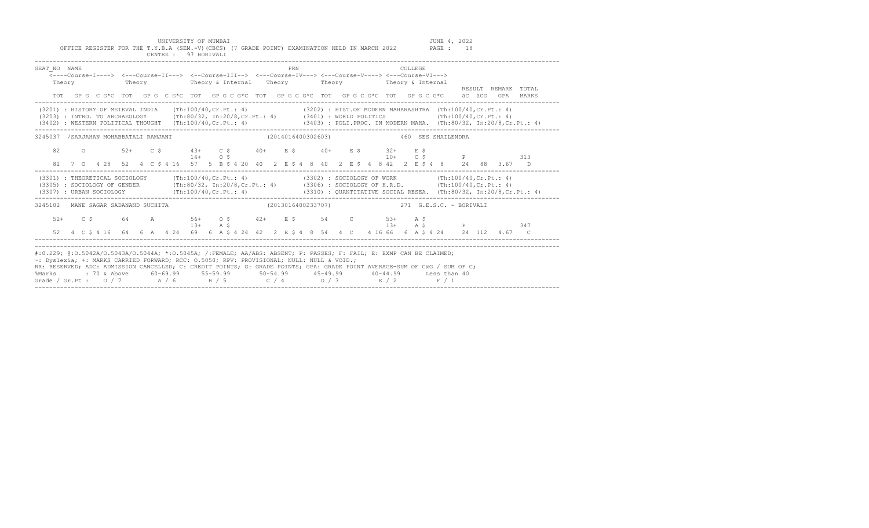UNIVERSITY OF MUMBAI<br>Y.B.A (SEM.-V)(CBCS) (7 GRADE POINT) EXAMINATION HELD IN MARCH 2022 PAGE : 18

| SEAT NO NAME<br>Theory                                                                                                                                                                                                                                                                                                                                                                                                                                                                       |  |  | <----Course-I----> <---Course-II---> <--Course-III--> <---Course-IV---> <---Course-V----> <---Course-VI---><br>Theory Theory & Internal Theory Theory Theory Theory & Internal |  |  |           |  |  |  | PRN |  |  |  |  | COLLEGE. |  |                                                                                                                     |  | RESULT REMARK TOTAL                                                                         |
|----------------------------------------------------------------------------------------------------------------------------------------------------------------------------------------------------------------------------------------------------------------------------------------------------------------------------------------------------------------------------------------------------------------------------------------------------------------------------------------------|--|--|--------------------------------------------------------------------------------------------------------------------------------------------------------------------------------|--|--|-----------|--|--|--|-----|--|--|--|--|----------|--|---------------------------------------------------------------------------------------------------------------------|--|---------------------------------------------------------------------------------------------|
|                                                                                                                                                                                                                                                                                                                                                                                                                                                                                              |  |  |                                                                                                                                                                                |  |  |           |  |  |  |     |  |  |  |  |          |  |                                                                                                                     |  | TOT GPG CG*C TOT GPG CG*C TOT GPG CG*C TOT GPG CG*C TOT GPG CG*C TOT GPG CG*C äCGGGPA MARKS |
| (3201) : HISTORY OF MEIEVAL INDIA (Th:100/40, Cr.Pt.: 4) (3202) : HIST. OF MODERN MAHARASHTRA (Th:100/40, Cr.Pt.: 4)<br>(3203) : INTRO. TO ARCHAEOLOGY (Th:80/32, In:20/8, Cr.Pt.: 4) (3401) : WORLD POLITICS (Th:100/40, Cr.Pt.: 4)<br>(3402) : WESTERN POLITICAL THOUGHT (Th:100/40, Cr. Pt.: 4) (3403) : POLI. PROC. IN MODERN MAHA. (Th:80/32, In:20/8, Cr. Pt.: 4)                                                                                                                      |  |  |                                                                                                                                                                                |  |  |           |  |  |  |     |  |  |  |  |          |  |                                                                                                                     |  |                                                                                             |
| 3245037 /SARJAHAN MOHABBATALI RAMJANI                         (2014016400302603)               460 SES SHAILENDRA                                                                                                                                                                                                                                                                                                                                                                            |  |  |                                                                                                                                                                                |  |  |           |  |  |  |     |  |  |  |  |          |  |                                                                                                                     |  |                                                                                             |
|                                                                                                                                                                                                                                                                                                                                                                                                                                                                                              |  |  | 82 0 52+ C \$ 43+ C \$ 40+ E \$ 40+ E \$ 32+ E \$                                                                                                                              |  |  | $14+$ 0 S |  |  |  |     |  |  |  |  |          |  | $10+$ C S P 313<br>82 7 0 4 28 52 4 C \$ 4 16 57 5 B \$ 4 20 40 2 E \$ 4 8 40 2 E \$ 4 8 42 2 E \$ 4 8 24 88 3.67 D |  |                                                                                             |
| (3301) : THEORETICAL SOCIOLOGY (Th:100/40, Cr.Pt.: 4) (3302) : SOCIOLOGY OF WORK (Th:100/40, Cr.Pt.: 4)<br>(3305) : SOCIOLOGY OF GENDER (Th:80/32, In:20/8, Cr.Pt.: 4) (3306) : SOCIOLOGY OF H.R.D. (Th:100/40, Cr.Pt.: 4)<br>(3307) : URBAN SOCIOLOGY (Th:100/40, Cr. Pt.: 4) (3310) : QUANTITATIVE SOCIAL RESEA. (Th:80/32, In:20/8, Cr. Pt.: 4)                                                                                                                                           |  |  |                                                                                                                                                                                |  |  |           |  |  |  |     |  |  |  |  |          |  |                                                                                                                     |  |                                                                                             |
| 3245102 MANE SAGAR SADANAND SUCHITA                                                                                                                                                                                                                                                                                                                                                                                                                                                          |  |  |                                                                                                                                                                                |  |  |           |  |  |  |     |  |  |  |  |          |  | (2013016400233707) 271 G.E.S.C. - BORIVALI                                                                          |  |                                                                                             |
|                                                                                                                                                                                                                                                                                                                                                                                                                                                                                              |  |  | $52+$ $C$ $5$ $64$ $A$ $56+$ $0$ $5$ $42+$ $E$ $5$ $54$ $C$ $53+$ $A$ $5$                                                                                                      |  |  |           |  |  |  |     |  |  |  |  |          |  | 13+ A \$ 347                                                                                                        |  |                                                                                             |
| #:0.229; @:0.5042A/0.5043A/0.5044A; *:0.5045A; /:FEMALE; AA/ABS: ABSENT; P: PASSES; F: FAIL; E: EXMP CAN BE CLAIMED;<br>~: Dyslexia; +: MARKS CARRIED FORWARD; RCC: 0.5050; RPV: PROVISIONAL; NULL: NULL & VOID.;<br>RR: RESERVED; ADC: ADMISSION CANCELLED; C: CREDIT POINTS; G: GRADE POINTS; GPA: GRADE POINT AVERAGE=SUM OF CxG / SUM OF C;<br>%Marks : 70 & Above 60-69.99 55-59.99 50-54.99 45-49.99 40-44.99 Less than 40<br>Grade / Gr.Pt: $0/7$ $A/6$ $B/5$ $C/4$ $D/3$ $E/2$ $F/1$ |  |  |                                                                                                                                                                                |  |  |           |  |  |  |     |  |  |  |  |          |  |                                                                                                                     |  |                                                                                             |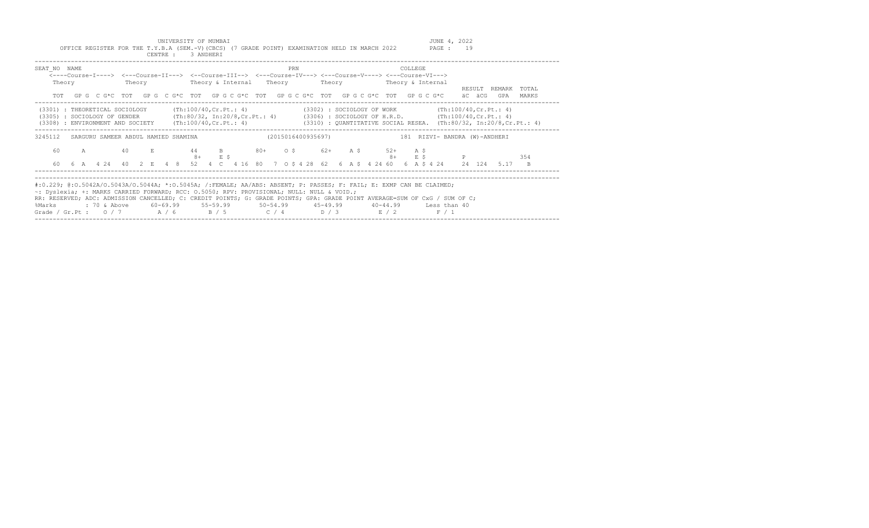UNIVERSITY OF MUMBAI<br>Y.B.A (SEM.-V)(CBCS) (7 GRADE POINT) EXAMINATION HELD IN MARCH 2022 PAGE : 19 OFFICE REGISTER FOR THE T.Y.B.A (SEM.-V)(CBCS) (7 GRADE POINT) EXAMINATION HELD IN MARCH 2022

|                                                                                                                                                                                                                                                                                                                                                                                                                        |  |                                                                                                             | CENTRE : 3 ANDHERI |  |  |                |  |     |  |  |  |  |         |                                                                                                             |        |                                                                                                                                |       |
|------------------------------------------------------------------------------------------------------------------------------------------------------------------------------------------------------------------------------------------------------------------------------------------------------------------------------------------------------------------------------------------------------------------------|--|-------------------------------------------------------------------------------------------------------------|--------------------|--|--|----------------|--|-----|--|--|--|--|---------|-------------------------------------------------------------------------------------------------------------|--------|--------------------------------------------------------------------------------------------------------------------------------|-------|
| SEAT NO NAME<br>Theory                                                                                                                                                                                                                                                                                                                                                                                                 |  | <----Course-I----> <---Course-II---> <--Course-III--> <---Course-IV---> <---Course-V----> <---Course-VI---> |                    |  |  |                |  | PRN |  |  |  |  | COLLEGE |                                                                                                             |        | RESULT REMARK TOTAL                                                                                                            |       |
| TOT                                                                                                                                                                                                                                                                                                                                                                                                                    |  |                                                                                                             |                    |  |  |                |  |     |  |  |  |  |         | GPG C G*C TOT GPG C G*C TOT GPG C G*C TOT GPG C G*C TOT GPG C G*C TOT GPG C G*C                             | äC äCG | GPA                                                                                                                            | MARKS |
| (3301) : THEORETICAL SOCIOLOGY (Th:100/40, Cr.Pt.: 4) (3302) : SOCIOLOGY OF WORK (Th:100/40, Cr.Pt.: 4)<br>(3305) : SOCIOLOGY OF GENDER (Th:80/32, In:20/8, Cr.Pt.: 4) (3306) : SOCIOLOGY OF H.R.D. (Th:100/40, Cr.Pt.: 4)<br>(3308) : ENVIRONMENT AND SOCIETY (Th:100/40, Cr. Pt.: 4) (3310) : QUANTITATIVE SOCIAL RESEA. (Th:80/32, In:20/8, Cr. Pt.: 4)                                                             |  |                                                                                                             |                    |  |  |                |  |     |  |  |  |  |         |                                                                                                             |        | -----------------------------------                                                                                            |       |
| 3245112 SARGURU SAMEER ABDUL HAMIED SHAMINA (2015016400935697) (2015016400935697)                                                                                                                                                                                                                                                                                                                                      |  |                                                                                                             |                    |  |  |                |  |     |  |  |  |  |         |                                                                                                             |        |                                                                                                                                |       |
| 60                                                                                                                                                                                                                                                                                                                                                                                                                     |  | A 40 E 44 B 80+ O \$ 62+ A \$ 52+ A \$                                                                      |                    |  |  | $8+$ E $\zeta$ |  |     |  |  |  |  |         | $8+$ E $\frac{6}{7}$ P                                                                                      |        |                                                                                                                                | 354   |
|                                                                                                                                                                                                                                                                                                                                                                                                                        |  |                                                                                                             |                    |  |  |                |  |     |  |  |  |  |         |                                                                                                             |        | 60  6  A  4  24  40  2  E  4  8  52  4  C  4  16  80  7  0  5  4  28  62  6  A  5  4  24  60  6  A  5  4  24  24  124  5.17  B |       |
| #:0.229; @:0.5042A/O.5043A/O.5044A; *:0.5045A; /:FEMALE; AA/ABS: ABSENT; P: PASSES; F: FAIL; E: EXMP CAN BE CLAIMED;<br>~: Dyslexia; +: MARKS CARRIED FORWARD; RCC: 0.5050; RPV: PROVISIONAL; NULL: NULL & VOID.;<br>RR: RESERVED; ADC: ADMISSION CANCELLED; C: CREDIT POINTS; G: GRADE POINTS; GPA: GRADE POINT AVERAGE=SUM OF CxG / SUM OF C;<br>%Marks<br>Grade / Gr.Pt : $0/7$ $A/6$ $B/5$ $C/4$ $D/3$ $E/2$ $F/1$ |  |                                                                                                             |                    |  |  |                |  |     |  |  |  |  |         | : 70 & Above       60–69.99       55–59.99        50–54.99        45–49.99       40–44.99      Less than 40 |        |                                                                                                                                |       |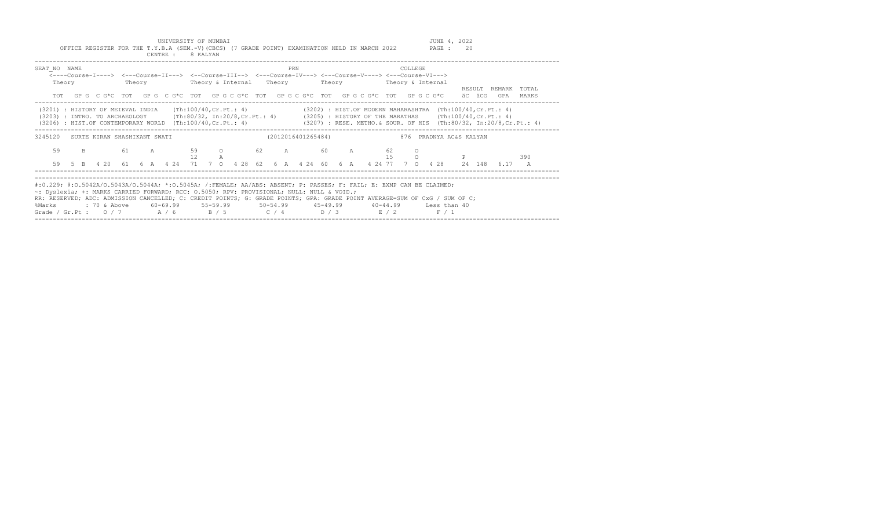UNIVERSITY OF MUMBAI<br>Y.B.A (SEM.-V)(CBCS) (7 GRADE POINT) EXAMINATION HELD IN MARCH 2022 PAGE : 20

|                                                                                                                                                                                                                                                                                                                                                                                                                                                                                         |  | OFFICE REGISTER FOR THE T.Y.B.A (SEM.-V)(CBCS) (7 GRADE POINT) EXAMINATION HELD IN MARCH 2022                                                                                                                                                   |  |  | CENTRE : 8 KALYAN |  |  |  |                      |  |  |  |          | PAGE : | 20     |                     |     |  |
|-----------------------------------------------------------------------------------------------------------------------------------------------------------------------------------------------------------------------------------------------------------------------------------------------------------------------------------------------------------------------------------------------------------------------------------------------------------------------------------------|--|-------------------------------------------------------------------------------------------------------------------------------------------------------------------------------------------------------------------------------------------------|--|--|-------------------|--|--|--|----------------------|--|--|--|----------|--------|--------|---------------------|-----|--|
| SEAT NO NAME                                                                                                                                                                                                                                                                                                                                                                                                                                                                            |  | <----Course-I----> <---Course-II---> <--Course-III--> <---Course-IV---> <---Course-V----> <---Course-VI---><br>Theory Theory Theory & Internal Theory Theory Theory Theory & Internal                                                           |  |  |                   |  |  |  | PRN                  |  |  |  | COLLEGE  |        |        |                     |     |  |
|                                                                                                                                                                                                                                                                                                                                                                                                                                                                                         |  | TOT GPG C G*C TOT GPG C G*C TOT GPG C G*C TOT GPG C G*C TOT GPG C G*C TOT GPG C G*C äC äCG GPA MARKS                                                                                                                                            |  |  |                   |  |  |  |                      |  |  |  |          |        |        | RESULT REMARK TOTAL |     |  |
| (3206) : HIST.OF CONTEMPORARY WORLD (Th:100/40, Cr.Pt.: 4) (3207) : RESE. METHO. & SOUR. OF HIS (Th:80/32, In:20/8, Cr.Pt.: 4)                                                                                                                                                                                                                                                                                                                                                          |  | (3201) : HISTORY OF MEIEVAL INDIA (Th:100/40, Cr. Pt.: 4) (3202) : HIST. OF MODERN MAHARASHTRA (Th:100/40, Cr. Pt.: 4)<br>(3203) : INTRO. TO ARCHAEOLOGY (Th:80/32, In:20/8, Cr.Pt.: 4) (3205) : HISTORY OF THE MARATHAS (Th:100/40, Cr.Pt.: 4) |  |  |                   |  |  |  |                      |  |  |  |          |        |        |                     |     |  |
| 3245120                                                                                                                                                                                                                                                                                                                                                                                                                                                                                 |  | SURTE KIRAN SHASHIKANT SWATI                                                                                                                                                                                                                    |  |  |                   |  |  |  |                      |  |  |  |          |        |        |                     |     |  |
| 59<br>59                                                                                                                                                                                                                                                                                                                                                                                                                                                                                |  | B 61 A 59 O 62 A 60 A 62<br>5 B  4 20  61  6 A  4 24  71  7  0  4 28  62  6  A  4  24  60  6  A  4  24  77  7  0  4  28  24  148  6.17  A                                                                                                       |  |  |                   |  |  |  | $12 \qquad \qquad A$ |  |  |  | $\Omega$ |        | 15 0 P |                     | 390 |  |
| #:0.229; @:0.5042A/O.5043A/O.5044A; *:0.5045A; /:FEMALE; AA/ABS: ABSENT; P: PASSES; F: FAIL; E: EXMP CAN BE CLAIMED;<br>~: Dyslexia; +: MARKS CARRIED FORWARD; RCC: 0.5050; RPV: PROVISIONAL; NULL: NULL & VOID.;<br>RR: RESERVED; ADC: ADMISSION CANCELLED; C: CREDIT POINTS; G: GRADE POINTS; GPA: GRADE POINT AVERAGE=SUM OF CxG / SUM OF C;<br>%Marks : 70 & Above 60-69.99 55-59.99 50-54.99 45-49.99 40-44.99 Less than 40<br>Grade / Gr.Pt : $0/7$ $A/6$ $B/5$ $C/4$ $D/3$ $E/2$ |  |                                                                                                                                                                                                                                                 |  |  |                   |  |  |  |                      |  |  |  |          | F / 1  |        |                     |     |  |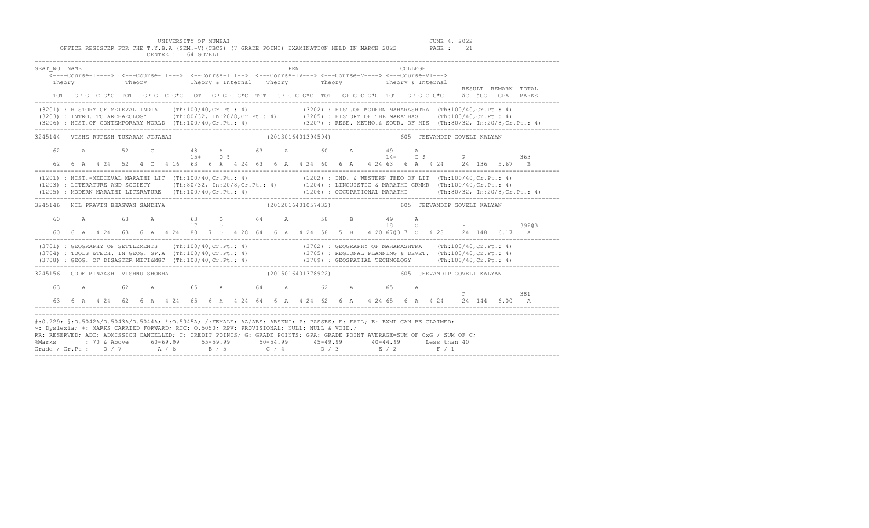UNIVERSITY OF MUMBAI JUNE 4, 2022 OFFICE REGISTER FOR THE T.Y.B.A (SEM.-V)(CBCS) (7 GRADE POINT) EXAMINATION HELD IN MARCH 2022 PAGE : 21 CENTRE : 64 GOVELI

| SEAT NO NAME                                                                                                                                                                                                                                                                                                                                                                                                                                                                                              |  | Theory Theory Theory a Internal Theory Theory Theory Theory Fheory Theory Theory Theory Theory Theory Theory Theory Theory Theory Theory Theory Theory Theory Theory Theory Theory Theory Theory Theory Theory Theory Theory |  |  |  |  |  | PRN |  |                                                |  | COLLEGE |  |  |                                                                                                                                                                                    | RESULT REMARK TOTAL                                                                                                                                                                                                           |
|-----------------------------------------------------------------------------------------------------------------------------------------------------------------------------------------------------------------------------------------------------------------------------------------------------------------------------------------------------------------------------------------------------------------------------------------------------------------------------------------------------------|--|------------------------------------------------------------------------------------------------------------------------------------------------------------------------------------------------------------------------------|--|--|--|--|--|-----|--|------------------------------------------------|--|---------|--|--|------------------------------------------------------------------------------------------------------------------------------------------------------------------------------------|-------------------------------------------------------------------------------------------------------------------------------------------------------------------------------------------------------------------------------|
|                                                                                                                                                                                                                                                                                                                                                                                                                                                                                                           |  |                                                                                                                                                                                                                              |  |  |  |  |  |     |  |                                                |  |         |  |  |                                                                                                                                                                                    | TOT GP G C G*C TOT GP G C G*C TOT GP G C G*C TOT GP G C G*C TOT GP G C G*C TOT GP G C G *C aC aCG GPA MARKS                                                                                                                   |
| (3201) : HISTORY OF MEIEVAL INDIA (Th:100/40, Cr.Pt.: 4) (3202) : HIST. OF MODERN MAHARASHTRA (Th:100/40, Cr.Pt.: 4)<br>(3203) : INTRO. TO ARCHAEOLOGY (Th:80/32, In:20/8, Cr.Pt.: 4) (3205) : HISTORY OF THE MARATHAS (Th:100/40, Cr.Pt.: 4)                                                                                                                                                                                                                                                             |  |                                                                                                                                                                                                                              |  |  |  |  |  |     |  |                                                |  |         |  |  |                                                                                                                                                                                    | $(3206)$ : HIST.OF CONTEMPORARY WORLD (Th:100/40,Cr.Pt.: 4) (3207): RESE. METHO.& SOUR. OF HIS (Th:80/32, In:20/8,Cr.Pt.: 4)                                                                                                  |
| 3245144 VISHE RUPESH TUKARAM JIJABAI                                                                                                                                                                                                                                                                                                                                                                                                                                                                      |  |                                                                                                                                                                                                                              |  |  |  |  |  |     |  | (2013016401394594) 605 JEEVANDIP GOVELI KALYAN |  |         |  |  |                                                                                                                                                                                    |                                                                                                                                                                                                                               |
|                                                                                                                                                                                                                                                                                                                                                                                                                                                                                                           |  |                                                                                                                                                                                                                              |  |  |  |  |  |     |  |                                                |  |         |  |  | 62 A 52 C 48 A 63 A 60 A 49 A<br>15+ 0 \$ 14 + 0 \$ 14 A<br>62  6  A  4  24  52  4  C  4  16  63  6  A  4  24  63  6  A  4  24  60  6  A  4  24  63  6  A  4  24  24  136  5.67  B |                                                                                                                                                                                                                               |
| (1201) : HIST.-MEDIEVAL MARATHI LIT (Th:100/40, Cr. Pt.: 4) (1202) : IND. & WESTERN THEO OF LIT (Th:100/40, Cr. Pt.: 4)<br>(1203) : LITERATURE AND SOCIETY (Th:80/32, In:20/8, Cr.Pt.: 4) (1204) : LINGUISTIC & MARATHI GRMMR (Th:100/40, Cr.Pt.: 4)                                                                                                                                                                                                                                                      |  |                                                                                                                                                                                                                              |  |  |  |  |  |     |  |                                                |  |         |  |  |                                                                                                                                                                                    | (1205) : MODERN MARATHI LITERATURE (Th:100/40,Cr.Pt.: 4) (1206) : OCCUPATIONAL MARATHI (Th:80/32, In:20/8,Cr.Pt.: 4) (2006) : (2006) : (2006) : (2006) : (2006) : (2006) : (2006) : (2006) : (2006) : (2006) : (2006) : (2006 |
| 3245146 NIL PRAVIN BHAGWAN SANDHYA                                                                                                                                                                                                                                                                                                                                                                                                                                                                        |  |                                                                                                                                                                                                                              |  |  |  |  |  |     |  |                                                |  |         |  |  |                                                                                                                                                                                    |                                                                                                                                                                                                                               |
|                                                                                                                                                                                                                                                                                                                                                                                                                                                                                                           |  |                                                                                                                                                                                                                              |  |  |  |  |  |     |  |                                                |  |         |  |  |                                                                                                                                                                                    |                                                                                                                                                                                                                               |
| (3701) : GEOGRAPHY OF SETTLEMENTS (Th:100/40, Cr. Pt.: 4) (3702) : GEOGRAPHY OF MAHARASHTRA (Th:100/40, Cr. Pt.: 4)<br>(3704) : TOOLS &TECH. IN GEOG. SP.A (Th:100/40, Cr.Pt.: 4) (3705) : REGIONAL PLANNING & DEVET. (Th:100/40, Cr.Pt.: 4)<br>(3708) : GEOG. OF DISASTER MITI&MGT (Th:100/40, Cr.Pt.: 4) (3709) : GEOSPATIAL TECHNOLOGY (Th:100/40, Cr.Pt.: 4)                                                                                                                                          |  |                                                                                                                                                                                                                              |  |  |  |  |  |     |  |                                                |  |         |  |  |                                                                                                                                                                                    |                                                                                                                                                                                                                               |
| 3245156 GODE MINAKSHI VISHNU SHOBHA                                                                                                                                                                                                                                                                                                                                                                                                                                                                       |  |                                                                                                                                                                                                                              |  |  |  |  |  |     |  | (2015016401378922) 605 JEEVANDIP GOVELI KALYAN |  |         |  |  |                                                                                                                                                                                    |                                                                                                                                                                                                                               |
| 63                                                                                                                                                                                                                                                                                                                                                                                                                                                                                                        |  | A 62 A 65 A 64 A 62 A 65 A                                                                                                                                                                                                   |  |  |  |  |  |     |  |                                                |  |         |  |  | $\mathbf P$ and $\mathbf P$                                                                                                                                                        | 381                                                                                                                                                                                                                           |
| #:0.229; @:0.5042A/O.5043A/O.5044A; *:0.5045A; /:FEMALE; AA/ABS: ABSENT; P: PASSES; F: FAIL; E: EXMP CAN BE CLAIMED;<br>~: Dyslexia; +: MARKS CARRIED FORWARD; RCC: 0.5050; RPV: PROVISIONAL; NULL: NULL & VOID.;<br>RR: RESERVED; ADC: ADMISSION CANCELLED; C: CREDIT POINTS; G: GRADE POINTS; GPA: GRADE POINT AVERAGE=SUM OF CxG / SUM OF C;<br>%Marks : 70 & Above 60-69.99 55-59.99 50-54.99 45-49.99 40-44.99 Less than 40<br>Grade / Gr.Pt : 0 / 7 $A$ / 6 $B$ / 5 $C$ / 4 $D$ / 3 $E$ / 2 $F$ / 1 |  |                                                                                                                                                                                                                              |  |  |  |  |  |     |  |                                                |  |         |  |  |                                                                                                                                                                                    |                                                                                                                                                                                                                               |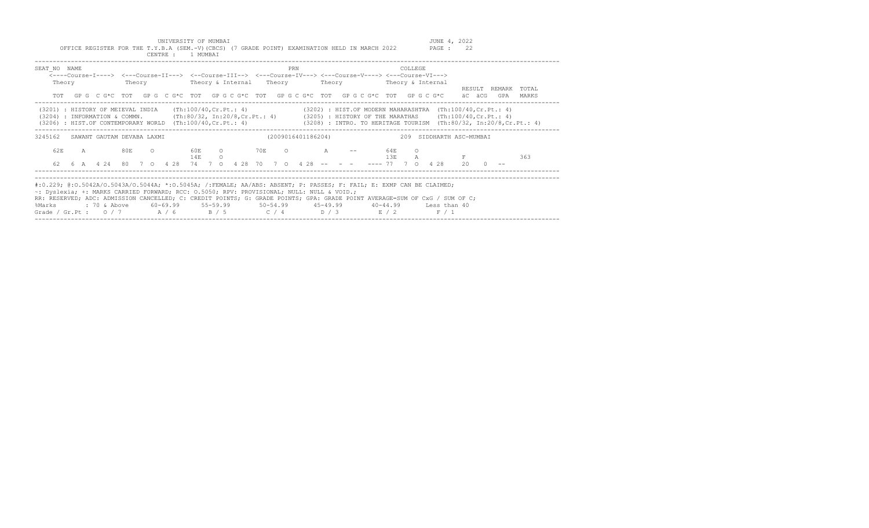UNIVERSITY OF MUMBAI UNIGRATION HELD IN MARCH 2022 JUNE 4, 2022<br>Y.B.A (SEM.-V)(CBCS) (7 GRADE POINT) EXAMINATION HELD IN MARCH 2022 PAGE : 22

|                                                                                                                                                                                                                                                                                                                                                                                                                        | OFFICE REGISTER FOR THE T.Y.B.A (SEM.-V)(CBCS) (7 GRADE POINT) EXAMINATION HELD IN MARCH 2022                                                 |  |  | CENTRE : 1 MUMBAI |  |                                                                         |                    |     |  |  |  |         |         |         |  | PAGE : | 22                       |  |                                                                                             |
|------------------------------------------------------------------------------------------------------------------------------------------------------------------------------------------------------------------------------------------------------------------------------------------------------------------------------------------------------------------------------------------------------------------------|-----------------------------------------------------------------------------------------------------------------------------------------------|--|--|-------------------|--|-------------------------------------------------------------------------|--------------------|-----|--|--|--|---------|---------|---------|--|--------|--------------------------|--|---------------------------------------------------------------------------------------------|
| SEAT NO NAME<br><----Course-I----> <---Course-II---> <--Course-III--> <---Course-IV---> <---Course-V----> <---Course-VI--->                                                                                                                                                                                                                                                                                            | Theory Theory Theory & Internal Theory Theory Theory Theory & Internal                                                                        |  |  |                   |  |                                                                         |                    | PRN |  |  |  |         |         | COLLEGE |  |        |                          |  | RESULT REMARK TOTAL                                                                         |
|                                                                                                                                                                                                                                                                                                                                                                                                                        |                                                                                                                                               |  |  |                   |  |                                                                         |                    |     |  |  |  |         |         |         |  |        |                          |  | TOT GPG CG*C TOT GPG CG*C TOT GPG CG*C TOT GPG CG*C TOT GPG CG*C TOT GPG CG*C äCGGGPA MARKS |
| (3201) : HISTORY OF MEIEVAL INDIA (Th:100/40,Cr.Pt.: 4) (3202) : HIST.OF MODERN MAHARASHTRA (Th:100/40,Cr.Pt.: 4)<br>(3204) : INFORMATION & COMMN. (Th:80/32, In:20/8, Cr. Pt.: 4) (3205) : HISTORY OF THE MARATHAS (Th:100/40, Cr. Pt.: 4)<br>(3206) : HIST.OF CONTEMPORARY WORLD (Th:100/40, Cr. Pt.: 4) (3208) : INTRO. TO HERITAGE TOURISM (Th:80/32, In:20/8, Cr. Pt.: 4)                                         |                                                                                                                                               |  |  |                   |  |                                                                         |                    |     |  |  |  |         |         |         |  |        |                          |  |                                                                                             |
| 3245162 SAWANT GAUTAM DEVABA LAXMI                                                                                                                                                                                                                                                                                                                                                                                     |                                                                                                                                               |  |  |                   |  |                                                                         | (2009016401186204) |     |  |  |  |         |         |         |  |        | 209 SIDDHARTH ASC-MUMBAI |  |                                                                                             |
| 62E                                                                                                                                                                                                                                                                                                                                                                                                                    | A 80E O 60E O 70E O A -- 64E<br>62  6  A  4  24  80  7  0  4  28  74  7  0  4  28  70  7  0  4  28  --  --  -----  77  7  0  4  28  20  0  -- |  |  | 14E               |  | $\overline{O}$ and $\overline{O}$ and $\overline{O}$ and $\overline{O}$ |                    |     |  |  |  | $13E$ A | $\circ$ |         |  |        | $F$ and $F$              |  | 363                                                                                         |
| #:0.229; @:0.5042A/O.5043A/O.5044A; *:0.5045A; /:FEMALE; AA/ABS: ABSENT; P: PASSES; F: FAIL; E: EXMP CAN BE CLAIMED;<br>~: Dyslexia; +: MARKS CARRIED FORWARD; RCC: 0.5050; RPV: PROVISIONAL; NULL: NULL & VOID.;<br>RR: RESERVED; ADC: ADMISSION CANCELLED; C: CREDIT POINTS; G: GRADE POINTS; GPA: GRADE POINT AVERAGE=SUM OF CxG / SUM OF C;<br>%Marks<br>Grade / Gr.Pt : $0/7$ $A/6$ $B/5$ $C/4$ $D/3$ $E/2$ $F/1$ |                                                                                                                                               |  |  |                   |  |                                                                         |                    |     |  |  |  |         |         |         |  |        |                          |  |                                                                                             |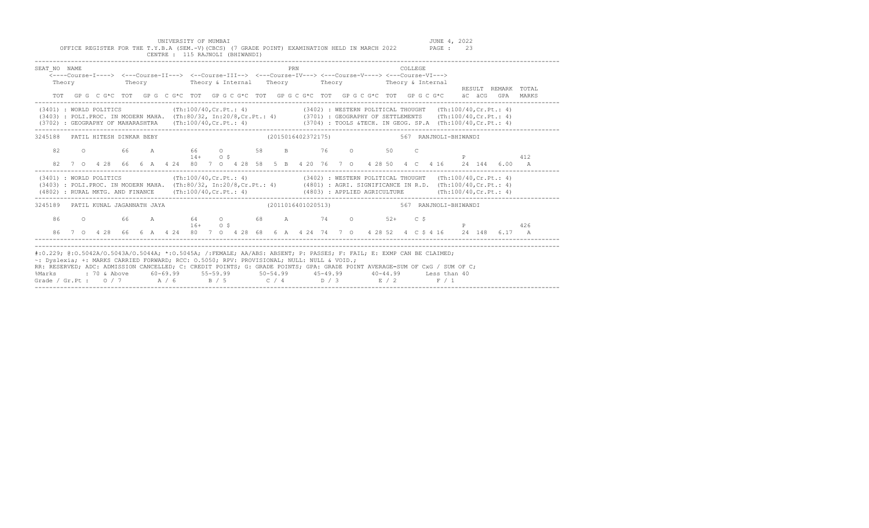UNIVERSITY OF MUMBAI UNIGRATION HELD IN MARCH 2022 JUNE 4, 2022<br>2.B.A (SEM.-V)(CBCS) (7 GRADE POINT) EXAMINATION HELD IN MARCH 2022 PAGE : 23 OFFICE REGISTER FOR THE T.Y.B.A (SEM.-V)(CBCS) (7 GRADE POINT) EXAMINATION HELD IN MARCH 2022 CENTRE : 115 RAJNOLI (BHIWANDI)

| SEAT NO NAME<br>Theory                                                                                                                                                                                                                                                                                                                                                                                                                                                                        |  |  |  |  |           |  | <----Course-I----> <---Course-II---> <--Course-III--> <---Course-IV---> <---Course-V----> <---Course-VI---> |  | PRN |  |  |  | COLLEGE |              |  |                                          |  | RESULT REMARK TOTAL                                                                                  |  |
|-----------------------------------------------------------------------------------------------------------------------------------------------------------------------------------------------------------------------------------------------------------------------------------------------------------------------------------------------------------------------------------------------------------------------------------------------------------------------------------------------|--|--|--|--|-----------|--|-------------------------------------------------------------------------------------------------------------|--|-----|--|--|--|---------|--------------|--|------------------------------------------|--|------------------------------------------------------------------------------------------------------|--|
|                                                                                                                                                                                                                                                                                                                                                                                                                                                                                               |  |  |  |  |           |  |                                                                                                             |  |     |  |  |  |         |              |  |                                          |  | TOT GPG C G*C TOT GPG C G*C TOT GPG C G*C TOT GPG C G*C TOT GPG C G*C TOT GPG C G*C äC äCG GPA MARKS |  |
| (3401) : WORLD POLITICS (Th:100/40, Cr. Pt.: 4) (3402) : WESTERN POLITICAL THOUGHT (Th:100/40, Cr. Pt.: 4)<br>(3403) : POLI.PROC. IN MODERN MAHA. (Th:80/32, In:20/8, Cr.Pt.: 4) (3701) : GEOGRAPHY OF SETTLEMENTS (Th:100/40, Cr.Pt.: 4)<br>(3702) : GEOGRAPHY OF MAHARASHTRA (Th:100/40, Cr. Pt.: 4) (3704) : TOOLS &TECH. IN GEOG. SP.A (Th:100/40, Cr. Pt.: 4)                                                                                                                            |  |  |  |  |           |  |                                                                                                             |  |     |  |  |  |         |              |  |                                          |  |                                                                                                      |  |
| 3245188 PATIL HITESH DINKAR BEBY                                                                                                                                                                                                                                                                                                                                                                                                                                                              |  |  |  |  |           |  |                                                                                                             |  |     |  |  |  |         |              |  | (2015016402372175) 567 RANJNOLI-BHIWANDI |  |                                                                                                      |  |
| 82                                                                                                                                                                                                                                                                                                                                                                                                                                                                                            |  |  |  |  | $14+$ 0 S |  | 0 66 A 66 O 58 B 76 O 50                                                                                    |  |     |  |  |  |         | $\mathbb{C}$ |  |                                          |  | 412<br>82 7 0 4 28 66 6 A 4 24 80 7 0 4 28 58 5 B 4 20 76 7 0 4 28 50 4 C 4 16 24 144 6 00 A         |  |
| (3401) : WORLD POLITICS (Th:100/40,Cr.Pt.: 4) (3402) : WESTERN POLITICAL THOUGHT (Th:100/40,Cr.Pt.: 4)<br>(3403) : POLI.PROC. IN MODERN MAHA. (Th:80/32, In:20/8, Cr.Pt.: 4) (4801) : AGRI. SIGNIFICANCE IN R.D. (Th:100/40, Cr.Pt.: 4)<br>(4802) : RURAL MKTG. AND FINANCE (Th:100/40, Cr.Pt.: 4) (4803) : APPLIED AGRICULTURE (Th:100/40, Cr.Pt.: 4)                                                                                                                                        |  |  |  |  |           |  |                                                                                                             |  |     |  |  |  |         |              |  |                                          |  |                                                                                                      |  |
| 3245189 PATIL KUNAL JAGANNATH JAYA                                                                                                                                                                                                                                                                                                                                                                                                                                                            |  |  |  |  |           |  |                                                                                                             |  |     |  |  |  |         |              |  |                                          |  |                                                                                                      |  |
| 86                                                                                                                                                                                                                                                                                                                                                                                                                                                                                            |  |  |  |  | $16+$ 0 S |  | 0 66 A 64 O 68 A 74 O 52+ C \$                                                                              |  |     |  |  |  |         |              |  |                                          |  | 426                                                                                                  |  |
| 86                                                                                                                                                                                                                                                                                                                                                                                                                                                                                            |  |  |  |  |           |  |                                                                                                             |  |     |  |  |  |         |              |  |                                          |  | 7 0 4 28 66 6 A 4 24 80 7 0 4 28 68 6 A 4 24 74 7 0 4 28 52 4 C \$ 4 16 24 148 6.17 A                |  |
| #:0.229; @:0.5042A/0.5043A/0.5044A; *:0.5045A; /:FEMALE; AA/ABS: ABSENT; P: PASSES; F: FAIL; E: EXMP CAN BE CLAIMED;<br>~: Dyslexia; +: MARKS CARRIED FORWARD; RCC: 0.5050; RPV: PROVISIONAL; NULL: NULL & VOID.;<br>RR: RESERVED; ADC: ADMISSION CANCELLED; C: CREDIT POINTS; G: GRADE POINTS; GPA: GRADE POINT AVERAGE=SUM OF CxG / SUM OF C;<br>%Marks : 70 & Above 60-69.99 55-59.99 50-54.99 45-49.99 40-44.99 Less than 40<br>Grade / Gr.Pt : $0/7$ $A/6$ $B/5$ $C/4$ $D/3$ $E/2$ $F/1$ |  |  |  |  |           |  |                                                                                                             |  |     |  |  |  |         |              |  |                                          |  |                                                                                                      |  |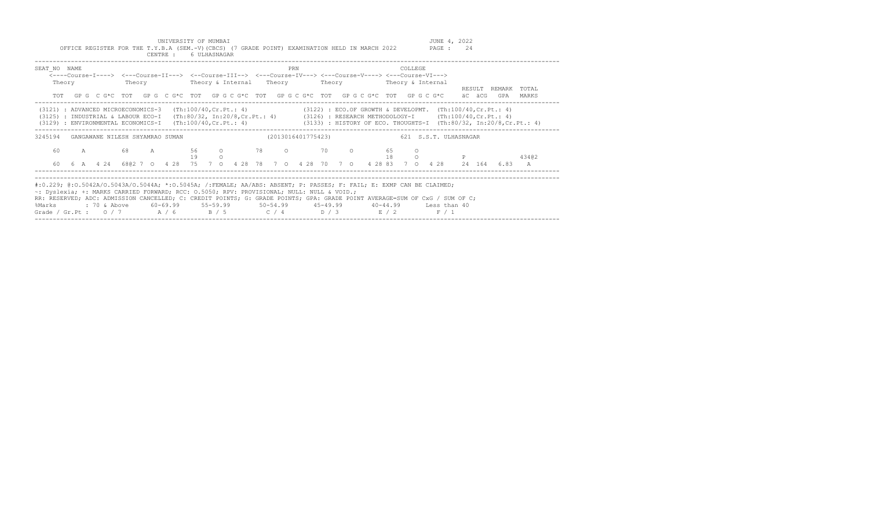UNIVERSITY OF MUMBAI<br>Y.B.A (SEM.-V)(CBCS) (7 GRADE POINT) EXAMINATION HELD IN MARCH 2022 PAGE : 24 OFFICE REGISTER FOR THE T.Y.B.A (SEM.-V)(CBCS) (7 GRADE POINT) EXAMINATION HELD IN MARCH 2022

|                                                                                                                                                                                                                                                                                                                                                                                                                                    |              |  |                                                                                                                       | CENTRE : |  | 6 ULHASNAGAR |          |                                                   |  |     |  |  |                    |          |         |                                                                                                                                                                                 |        |                            |                |
|------------------------------------------------------------------------------------------------------------------------------------------------------------------------------------------------------------------------------------------------------------------------------------------------------------------------------------------------------------------------------------------------------------------------------------|--------------|--|-----------------------------------------------------------------------------------------------------------------------|----------|--|--------------|----------|---------------------------------------------------|--|-----|--|--|--------------------|----------|---------|---------------------------------------------------------------------------------------------------------------------------------------------------------------------------------|--------|----------------------------|----------------|
| SEAT NO NAME<br>Theory                                                                                                                                                                                                                                                                                                                                                                                                             |              |  | <----Course-I----> <---Course-II---> <--Course-III--> <---Course-IV---> <---Course-V----> <---Course-VI---><br>Theory |          |  |              |          | Theory & Internal Theory Theory Theory & Internal |  | PRN |  |  |                    |          | COLLEGE |                                                                                                                                                                                 |        |                            |                |
| TOT                                                                                                                                                                                                                                                                                                                                                                                                                                |              |  | GPG CG*C TOT GPG CG*C TOT GPG CG*C TOT GPG CG*C TOT GPG CG*C TOT GPG CG*C                                             |          |  |              |          |                                                   |  |     |  |  |                    |          |         |                                                                                                                                                                                 | äC äCG | RESULT REMARK TOTAL<br>GPA | MARKS          |
| (3121) : ADVANCED MICROECONOMICS-3<br>(3125) : INDUSTRIAL & LABOUR ECO-I<br>(3129) : ENVIRONMENTAL ECONOMICS-I (Th:100/40, Cr. Pt.: 4) (3133) : HISTORY OF ECO. THOUGHTS-I (Th:80/32, In:20/8, Cr. Pt.: 4)                                                                                                                                                                                                                         |              |  |                                                                                                                       |          |  |              |          |                                                   |  |     |  |  |                    |          |         | (Th:100/40, Cr. Pt.: 4) (3122) : ECO. OF GROWTH & DEVELOPMT. (Th:100/40, Cr. Pt.: 4)<br>(Th:80/32, In:20/8, Cr. Pt.: 4) (3126) : RESEARCH METHODOLOGY-I (Th:100/40, Cr. Pt.: 4) |        |                            |                |
| 3245194                                                                                                                                                                                                                                                                                                                                                                                                                            |              |  | GANGAWANE NILESH SHYAMRAO SUMAN                                                                                       |          |  |              |          |                                                   |  |     |  |  |                    |          |         | (2013016401775423) 621 S.S.T. ULHASNAGAR                                                                                                                                        |        |                            |                |
| 60                                                                                                                                                                                                                                                                                                                                                                                                                                 | $\mathbb{A}$ |  | 68 A                                                                                                                  |          |  | 19           | $\Omega$ | 56 0 78                                           |  |     |  |  | $\circ$ 70 $\circ$ | 65<br>18 |         |                                                                                                                                                                                 |        |                            | 43402          |
| 60                                                                                                                                                                                                                                                                                                                                                                                                                                 |              |  |                                                                                                                       |          |  |              |          |                                                   |  |     |  |  |                    |          |         | 6 A    4    4    4    6802    7    0    4    28    78    70    4    28    70    70    4    28    33    70    4    28    24    164    6.83                                       |        |                            | $\overline{A}$ |
| #:0.229; @:0.5042A/O.5043A/O.5044A; *:0.5045A; /:FEMALE; AA/ABS: ABSENT; P: PASSES; F: FAIL; E: EXMP CAN BE CLAIMED;<br>~: Dyslexia; +: MARKS CARRIED FORWARD; RCC: 0.5050; RPV: PROVISIONAL; NULL: NULL & VOID.;<br>RR: RESERVED; ADC: ADMISSION CANCELLED; C: CREDIT POINTS; G: GRADE POINTS; GPA: GRADE POINT AVERAGE=SUM OF CxG / SUM OF C;<br>%Marks<br>Grade / Gr.Pt : 0 / 7 $A$ / 6 $B$ / 5 $C$ / 4 $D$ / 3 $E$ / 2 $F$ / 1 |              |  |                                                                                                                       |          |  |              |          |                                                   |  |     |  |  |                    |          |         |                                                                                                                                                                                 |        |                            |                |